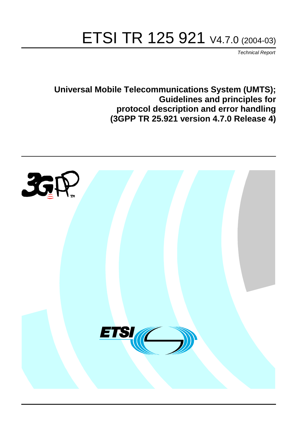# ETSI TR 125 921 V4.7.0 (2004-03)

Technical Report

**Universal Mobile Telecommunications System (UMTS); Guidelines and principles for protocol description and error handling (3GPP TR 25.921 version 4.7.0 Release 4)**

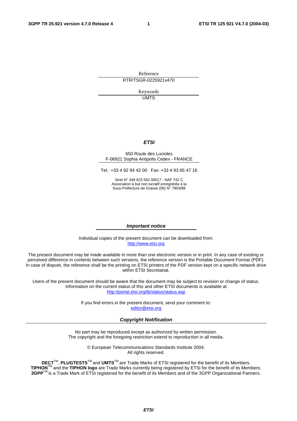Reference RTR/TSGR-0225921v470

> Keywords UMTS

#### **ETSI**

#### 650 Route des Lucioles F-06921 Sophia Antipolis Cedex - FRANCE

Tel.: +33 4 92 94 42 00 Fax: +33 4 93 65 47 16

Siret N° 348 623 562 00017 - NAF 742 C Association à but non lucratif enregistrée à la Sous-Préfecture de Grasse (06) N° 7803/88

#### **Important notice**

Individual copies of the present document can be downloaded from: [http://www.etsi.org](http://www.etsi.org/)

The present document may be made available in more than one electronic version or in print. In any case of existing or perceived difference in contents between such versions, the reference version is the Portable Document Format (PDF). In case of dispute, the reference shall be the printing on ETSI printers of the PDF version kept on a specific network drive within ETSI Secretariat.

Users of the present document should be aware that the document may be subject to revision or change of status. Information on the current status of this and other ETSI documents is available at <http://portal.etsi.org/tb/status/status.asp>

> If you find errors in the present document, send your comment to: [editor@etsi.org](mailto:editor@etsi.org)

#### **Copyright Notification**

No part may be reproduced except as authorized by written permission. The copyright and the foregoing restriction extend to reproduction in all media.

> © European Telecommunications Standards Institute 2004. All rights reserved.

**DECT**TM, **PLUGTESTS**TM and **UMTS**TM are Trade Marks of ETSI registered for the benefit of its Members. **TIPHON**TM and the **TIPHON logo** are Trade Marks currently being registered by ETSI for the benefit of its Members. **3GPP**TM is a Trade Mark of ETSI registered for the benefit of its Members and of the 3GPP Organizational Partners.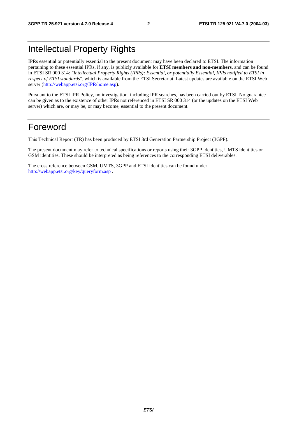# Intellectual Property Rights

IPRs essential or potentially essential to the present document may have been declared to ETSI. The information pertaining to these essential IPRs, if any, is publicly available for **ETSI members and non-members**, and can be found in ETSI SR 000 314: *"Intellectual Property Rights (IPRs); Essential, or potentially Essential, IPRs notified to ETSI in respect of ETSI standards"*, which is available from the ETSI Secretariat. Latest updates are available on the ETSI Web server ([http://webapp.etsi.org/IPR/home.asp\)](http://webapp.etsi.org/IPR/home.asp).

Pursuant to the ETSI IPR Policy, no investigation, including IPR searches, has been carried out by ETSI. No guarantee can be given as to the existence of other IPRs not referenced in ETSI SR 000 314 (or the updates on the ETSI Web server) which are, or may be, or may become, essential to the present document.

# Foreword

This Technical Report (TR) has been produced by ETSI 3rd Generation Partnership Project (3GPP).

The present document may refer to technical specifications or reports using their 3GPP identities, UMTS identities or GSM identities. These should be interpreted as being references to the corresponding ETSI deliverables.

The cross reference between GSM, UMTS, 3GPP and ETSI identities can be found under <http://webapp.etsi.org/key/queryform.asp>.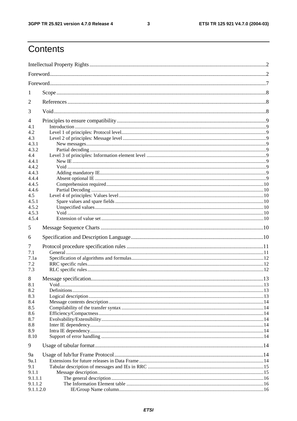$\mathbf{3}$ 

# Contents

| 1                                                               |      |  |
|-----------------------------------------------------------------|------|--|
| 2                                                               |      |  |
| 3                                                               |      |  |
| $\overline{\mathcal{A}}$<br>4.1<br>4.2<br>4.3<br>4.3.1<br>4.3.2 |      |  |
| 4.4<br>4.4.1<br>4.4.2<br>4.4.3                                  |      |  |
| 4.4.4<br>4.4.5<br>4.4.6<br>4.5                                  |      |  |
| 4.5.1<br>4.5.2<br>4.5.3<br>4.5.4                                |      |  |
| 5                                                               |      |  |
| 6                                                               |      |  |
| 7<br>7.1<br>7.1a<br>7.2<br>7.3                                  |      |  |
| 8<br>8.1<br>8.2<br>8.3<br>8.4<br>8.5<br>8.6<br>8.7<br>8.8       | Void |  |
| 8.9<br>8.10                                                     |      |  |
| 9<br>9a<br>9a.1<br>9.1<br>9.1.1<br>9.1.1.1<br>9.1.1.2           |      |  |
| 9.1.1.2.0                                                       |      |  |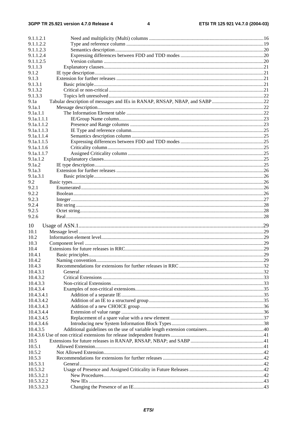| 9.1.1.2.1              |                   |  |
|------------------------|-------------------|--|
| 9.1.1.2.2              |                   |  |
| 9.1.1.2.3              |                   |  |
| 9.1.1.2.4              |                   |  |
| 9.1.1.2.5              |                   |  |
| 9.1.1.3                |                   |  |
| 9.1.2                  |                   |  |
| 9.1.3                  |                   |  |
| 9.1.3.1                |                   |  |
| 9.1.3.2                |                   |  |
| 9.1.3.3                |                   |  |
| 9.1a                   |                   |  |
| 9.1a.1                 |                   |  |
| 9.1a.1.1               |                   |  |
| 9.1a.1.1.1             |                   |  |
| 9.1a.1.1.2             |                   |  |
| 9.1a.1.1.3             |                   |  |
| 9.1a.1.1.4             |                   |  |
| 9.1a.1.1.5             |                   |  |
| 9.1a.1.1.6             |                   |  |
| 9.1a.1.1.7<br>9.1a.1.2 |                   |  |
| 9.1a.2                 |                   |  |
| 9.1a.3                 |                   |  |
| 9.1a.3.1               |                   |  |
| 9.2                    |                   |  |
| 9.2.1                  |                   |  |
| 9.2.2                  |                   |  |
| 9.2.3                  |                   |  |
| 9.2.4                  |                   |  |
| 9.2.5                  |                   |  |
| 9.2.6                  |                   |  |
|                        |                   |  |
| 10                     |                   |  |
| 10.1                   |                   |  |
| 10.2                   |                   |  |
| 10.3                   |                   |  |
| 10.4                   |                   |  |
| 10.4.1                 |                   |  |
| 10.4.2                 |                   |  |
| 10.4.3                 |                   |  |
| 10.4.3.1               | General $\sim$ 32 |  |
| 10.4.3.2               |                   |  |
| 10.4.3.3               |                   |  |
| 10.4.3.4               |                   |  |
| 10.4.3.4.1             |                   |  |
| 10.4.3.4.2             |                   |  |
| 10.4.3.4.3             |                   |  |
| 10.4.3.4.4             |                   |  |
| 10.4.3.4.5             |                   |  |
| 10.4.3.4.6             |                   |  |
| 10.4.3.5               |                   |  |
| 10.5                   |                   |  |
| 10.5.1                 |                   |  |
| 10.5.2                 |                   |  |
| 10.5.3                 |                   |  |
| 10.5.3.1               |                   |  |
| 10.5.3.2               |                   |  |
| 10.5.3.2.1             |                   |  |
| 10.5.3.2.2             |                   |  |
|                        |                   |  |
| 10.5.3.2.3             |                   |  |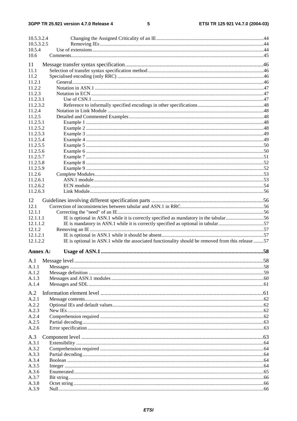#### $5\phantom{a}$

| 10.5.3.2.4 |                                                                                                   |  |
|------------|---------------------------------------------------------------------------------------------------|--|
| 10.5.3.2.5 |                                                                                                   |  |
| 10.5.4     |                                                                                                   |  |
| 10.6       |                                                                                                   |  |
| 11         |                                                                                                   |  |
| 11.1       |                                                                                                   |  |
| 11.2       |                                                                                                   |  |
| 11.2.1     |                                                                                                   |  |
| 11.2.2     |                                                                                                   |  |
| 11.2.3     |                                                                                                   |  |
| 11.2.3.1   |                                                                                                   |  |
| 11.2.3.2   |                                                                                                   |  |
| 11.2.4     |                                                                                                   |  |
| 11.2.5     |                                                                                                   |  |
| 11.2.5.1   |                                                                                                   |  |
| 11.2.5.2   |                                                                                                   |  |
| 11.2.5.3   |                                                                                                   |  |
| 11.2.5.4   |                                                                                                   |  |
| 11.2.5.5   |                                                                                                   |  |
| 11.2.5.6   |                                                                                                   |  |
| 11.2.5.7   |                                                                                                   |  |
| 11.2.5.8   |                                                                                                   |  |
| 11.2.5.9   |                                                                                                   |  |
| 11.2.6     |                                                                                                   |  |
| 11.2.6.1   |                                                                                                   |  |
| 11.2.6.2   |                                                                                                   |  |
| 11.2.6.3   |                                                                                                   |  |
|            |                                                                                                   |  |
| 12         |                                                                                                   |  |
| 12.1       |                                                                                                   |  |
| 12.1.1     |                                                                                                   |  |
| 12.1.1.1   | IE is optional in ASN.1 while it is correctly specified as mandatory in the tabular56             |  |
| 12.1.1.2   | IE is mandatory in ASN.1 while it is correctly specified as optional in tabular57                 |  |
| 12.1.2     |                                                                                                   |  |
| 12.1.2.1   |                                                                                                   |  |
| 12.1.2.2   | IE is optional in ASN.1 while the associated functionality should be removed from this release 57 |  |
|            |                                                                                                   |  |
| Annex A:   |                                                                                                   |  |
| A.1        |                                                                                                   |  |
| A.1.1      |                                                                                                   |  |
| A.1.2      |                                                                                                   |  |
| A.1.3      |                                                                                                   |  |
| A.1.4      |                                                                                                   |  |
|            |                                                                                                   |  |
| A.2        |                                                                                                   |  |
| A.2.1      |                                                                                                   |  |
| A.2.2      |                                                                                                   |  |
| A.2.3      |                                                                                                   |  |
| A.2.4      |                                                                                                   |  |
| A.2.5      |                                                                                                   |  |
| A.2.6      |                                                                                                   |  |
| A.3        |                                                                                                   |  |
| A.3.1      |                                                                                                   |  |
| A.3.2      |                                                                                                   |  |
| A.3.3      |                                                                                                   |  |
| A.3.4      |                                                                                                   |  |
| A.3.5      |                                                                                                   |  |
| A.3.6      |                                                                                                   |  |
| A.3.7      |                                                                                                   |  |
| A.3.8      |                                                                                                   |  |
| A.3.9      |                                                                                                   |  |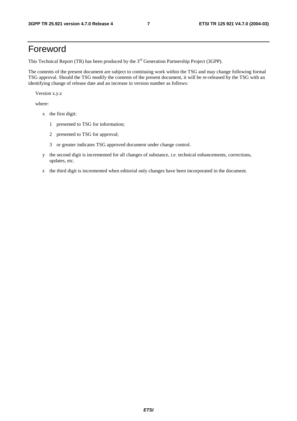# Foreword

This Technical Report (TR) has been produced by the 3<sup>rd</sup> Generation Partnership Project (3GPP).

The contents of the present document are subject to continuing work within the TSG and may change following formal TSG approval. Should the TSG modify the contents of the present document, it will be re-released by the TSG with an identifying change of release date and an increase in version number as follows:

Version x.y.z

where:

- x the first digit:
	- 1 presented to TSG for information;
	- 2 presented to TSG for approval;
	- 3 or greater indicates TSG approved document under change control.
- y the second digit is incremented for all changes of substance, i.e. technical enhancements, corrections, updates, etc.
- z the third digit is incremented when editorial only changes have been incorporated in the document.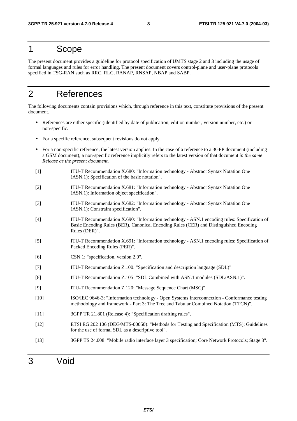# 1 Scope

The present document provides a guideline for protocol specification of UMTS stage 2 and 3 including the usage of formal languages and rules for error handling. The present document covers control-plane and user-plane protocols specified in TSG-RAN such as RRC, RLC, RANAP, RNSAP, NBAP and SABP.

# 2 References

The following documents contain provisions which, through reference in this text, constitute provisions of the present document.

- References are either specific (identified by date of publication, edition number, version number, etc.) or non-specific.
- For a specific reference, subsequent revisions do not apply.
- For a non-specific reference, the latest version applies. In the case of a reference to a 3GPP document (including a GSM document), a non-specific reference implicitly refers to the latest version of that document *in the same Release as the present document*.
- [1] ITU-T Recommendation X.680: "Information technology Abstract Syntax Notation One (ASN.1): Specification of the basic notation".
- [2] ITU-T Recommendation X.681: "Information technology Abstract Syntax Notation One (ASN.1): Information object specification".
- [3] ITU-T Recommendation X.682: "Information technology Abstract Syntax Notation One (ASN.1): Constraint specification".
- [4] ITU-T Recommendation X.690: "Information technology ASN.1 encoding rules: Specification of Basic Encoding Rules (BER), Canonical Encoding Rules (CER) and Distinguished Encoding Rules (DER)".
- [5] ITU-T Recommendation X.691: "Information technology ASN.1 encoding rules: Specification of Packed Encoding Rules (PER)".
- [6] CSN.1: "specification, version 2.0".
- [7] ITU-T Recommendation Z.100: "Specification and description language (SDL)".
- [8] ITU-T Recommendation Z.105: "SDL Combined with ASN.1 modules (SDL/ASN.1)".
- [9] ITU-T Recommendation Z.120: "Message Sequence Chart (MSC)".
- [10] ISO/IEC 9646-3: "Information technology Open Systems Interconnection Conformance testing methodology and framework - Part 3: The Tree and Tabular Combined Notation (TTCN)".
- [11] 3GPP TR 21.801 (Release 4): "Specification drafting rules".
- [12] ETSI EG 202 106 (DEG/MTS-00050): "Methods for Testing and Specification (MTS); Guidelines for the use of formal SDL as a descriptive tool".
- [13] 3GPP TS 24.008: "Mobile radio interface layer 3 specification; Core Network Protocols; Stage 3".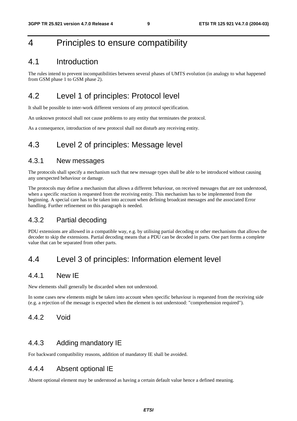# 4 Principles to ensure compatibility

### 4.1 Introduction

The rules intend to prevent incompatibilities between several phases of UMTS evolution (in analogy to what happened from GSM phase 1 to GSM phase 2).

# 4.2 Level 1 of principles: Protocol level

It shall be possible to inter-work different versions of any protocol specification.

An unknown protocol shall not cause problems to any entity that terminates the protocol.

As a consequence, introduction of new protocol shall not disturb any receiving entity.

# 4.3 Level 2 of principles: Message level

### 4.3.1 New messages

The protocols shall specify a mechanism such that new message types shall be able to be introduced without causing any unexpected behaviour or damage.

The protocols may define a mechanism that allows a different behaviour, on received messages that are not understood, when a specific reaction is requested from the receiving entity. This mechanism has to be implemented from the beginning. A special care has to be taken into account when defining broadcast messages and the associated Error handling. Further refinement on this paragraph is needed.

### 4.3.2 Partial decoding

PDU extensions are allowed in a compatible way, e.g. by utilising partial decoding or other mechanisms that allows the decoder to skip the extensions. Partial decoding means that a PDU can be decoded in parts. One part forms a complete value that can be separated from other parts.

# 4.4 Level 3 of principles: Information element level

### 4.4.1 New IE

New elements shall generally be discarded when not understood.

In some cases new elements might be taken into account when specific behaviour is requested from the receiving side (e.g. a rejection of the message is expected when the element is not understood: "comprehension required").

### 4.4.2 Void

### 4.4.3 Adding mandatory IE

For backward compatibility reasons, addition of mandatory IE shall be avoided.

### 4.4.4 Absent optional IE

Absent optional element may be understood as having a certain default value hence a defined meaning.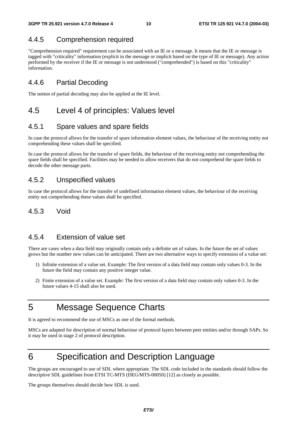# 4.4.5 Comprehension required

"Comprehension required" requirement can be associated with an IE or a message. It means that the IE or message is tagged with "criticality" information (explicit in the message or implicit based on the type of IE or message). Any action performed by the receiver if the IE or message is not understood ("comprehended") is based on this "criticality" information.

### 4.4.6 Partial Decoding

The notion of partial decoding may also be applied at the IE level.

# 4.5 Level 4 of principles: Values level

### 4.5.1 Spare values and spare fields

In case the protocol allows for the transfer of spare information element values, the behaviour of the receiving entity not comprehending these values shall be specified.

In case the protocol allows for the transfer of spare fields, the behaviour of the receiving entity not comprehending the spare fields shall be specified. Facilities may be needed to allow receivers that do not comprehend the spare fields to decode the other message parts.

### 4.5.2 Unspecified values

In case the protocol allows for the transfer of undefined information element values, the behaviour of the receiving entity not comprehending these values shall be specified.

### 4.5.3 Void

### 4.5.4 Extension of value set

There are cases when a data field may originally contain only a definite set of values. In the future the set of values grows but the number new values can be anticipated. There are two alternative ways to specify extension of a value set:

- 1) Infinite extension of a value set. Example: The first version of a data field may contain only values 0-3. In the future the field may contain any positive integer value.
- 2) Finite extension of a value set. Example: The first version of a data field may contain only values 0-3. In the future values 4-15 shall also be used.

# 5 Message Sequence Charts

It is agreed to recommend the use of MSCs as one of the formal methods.

MSCs are adapted for description of normal behaviour of protocol layers between peer entities and/or through SAPs. So it may be used in stage 2 of protocol description.

# 6 Specification and Description Language

The groups are encouraged to use of SDL where appropriate. The SDL code included in the standards should follow the descriptive SDL guidelines from ETSI TC-MTS (DEG/MTS-00050) [12] as closely as possible.

The groups themselves should decide how SDL is used.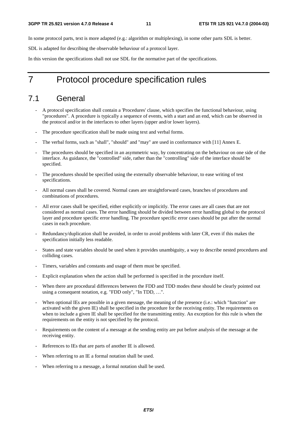In some protocol parts, text is more adapted (e.g.: algorithm or multiplexing), in some other parts SDL is better.

SDL is adapted for describing the observable behaviour of a protocol layer.

In this version the specifications shall not use SDL for the normative part of the specifications.

# 7 Protocol procedure specification rules

# 7.1 General

- A protocol specification shall contain a 'Procedures' clause, which specifies the functional behaviour, using "procedures". A procedure is typically a sequence of events, with a start and an end, which can be observed in the protocol and/or in the interfaces to other layers (upper and/or lower layers).
- The procedure specification shall be made using text and verbal forms.
- The verbal forms, such as "shall", "should" and "may" are used in conformance with [11] Annex E.
- The procedures should be specified in an asymmetric way, by concentrating on the behaviour on one side of the interface. As guidance, the "controlled" side, rather than the "controlling" side of the interface should be specified.
- The procedures should be specified using the externally observable behaviour, to ease writing of test specifications.
- All normal cases shall be covered. Normal cases are straightforward cases, branches of procedures and combinations of procedures.
- All error cases shall be specified, either explicitly or implicitly. The error cases are all cases that are not considered as normal cases. The error handling should be divided between error handling global to the protocol layer and procedure specific error handling. The procedure specific error cases should be put after the normal cases in each procedure.
- Redundancy/duplication shall be avoided, in order to avoid problems with later CR, even if this makes the specification initially less readable.
- States and state variables should be used when it provides unambiguity, a way to describe nested procedures and colliding cases.
- Timers, variables and constants and usage of them must be specified.
- Explicit explanation when the action shall be performed is specified in the procedure itself.
- When there are procedural differences between the FDD and TDD modes these should be clearly pointed out using a consequent notation, e.g. "FDD only", "In TDD, …".
- When optional IEs are possible in a given message, the meaning of the presence (i.e.: which "function" are activated with the given IE) shall be specified in the procedure for the receiving entity. The requirements on when to include a given IE shall be specified for the transmitting entity. An exception for this rule is when the requirements on the entity is not specified by the protocol.
- Requirements on the content of a message at the sending entity are put before analysis of the message at the receiving entity.
- References to IEs that are parts of another IE is allowed.
- When referring to an IE a formal notation shall be used.
- When referring to a message, a formal notation shall be used.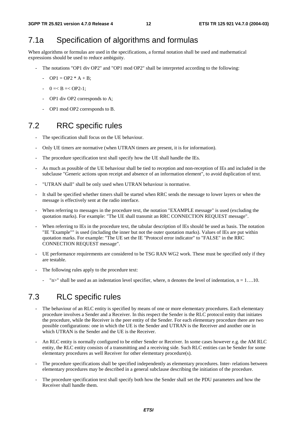# 7.1a Specification of algorithms and formulas

When algorithms or formulas are used in the specifications, a formal notation shall be used and mathematical expressions should be used to reduce ambiguity.

- The notations "OP1 div OP2" and "OP1 mod OP2" shall be interpreted according to the following:
	- $OP1 = OP2 * A + B$ ;
	- $-$  0 =  $B = <$  OP2-1;
	- OP1 div OP2 corresponds to A;
	- OP1 mod OP2 corresponds to B.

# 7.2 RRC specific rules

- The specification shall focus on the UE behaviour.
- Only UE timers are normative (when UTRAN timers are present, it is for information).
- The procedure specification text shall specify how the UE shall handle the IEs.
- As much as possible of the UE behaviour shall be tied to reception and non-reception of IEs and included in the subclause "Generic actions upon receipt and absence of an information element", to avoid duplication of text.
- "UTRAN shall" shall be only used when UTRAN behaviour is normative.
- It shall be specified whether timers shall be started when RRC sends the message to lower layers or when the message is effectively sent at the radio interface.
- When referring to messages in the procedure text, the notation "EXAMPLE message" is used (excluding the quotation marks). For example: "The UE shall transmit an RRC CONNECTION REQUEST message".
- When referring to IEs in the procedure text, the tabular description of IEs should be used as basis. The notation "IE "Example"" is used (including the inner but not the outer quotation marks). Values of IEs are put within quotation marks. For example: "The UE set the IE "Protocol error indicator" to "FALSE" in the RRC CONNECTION REQUEST message".
- UE performance requirements are considered to be TSG RAN WG2 work. These must be specified only if they are testable.
- The following rules apply to the procedure text:
	- "n>" shall be used as an indentation level specifier, where, n denotes the level of indentation,  $n = 1$ ....10.

# 7.3 RLC specific rules

- The behaviour of an RLC entity is specified by means of one or more elementary procedures. Each elementary procedure involves a Sender and a Receiver. In this respect the Sender is the RLC protocol entity that initiates the procedure, while the Receiver is the peer entity of the Sender. For each elementary procedure there are two possible configurations: one in which the UE is the Sender and UTRAN is the Receiver and another one in which UTRAN is the Sender and the UE is the Receiver.
- An RLC entity is normally configured to be either Sender or Receiver. In some cases however e.g. the AM RLC entity, the RLC entity consists of a transmitting and a receiving side. Such RLC entities can be Sender for some elementary procedures as well Receiver for other elementary procedure(s).
- The procedure specifications shall be specified independently as elementary procedures. Inter- relations between elementary procedures may be described in a general subclause describing the initiation of the procedure.
- The procedure specification text shall specify both how the Sender shall set the PDU parameters and how the Receiver shall handle them.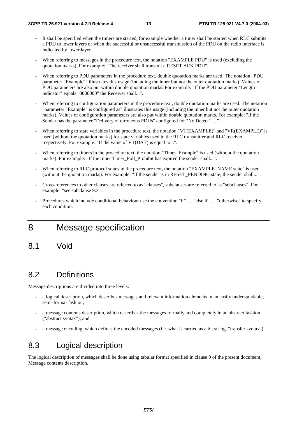- It shall be specified when the timers are started, for example whether a timer shall be started when RLC submits a PDU to lower layers or when the successful or unsuccessful transmission of the PDU on the radio interface is indicated by lower layer.
- When referring to messages in the procedure text, the notation "EXAMPLE PDU" is used (excluding the quotation marks). For example: "The receiver shall transmit a RESET ACK PDU".
- When referring to PDU parameters in the procedure text, double quotation marks are used. The notation "PDU" parameter "Example"" illustrates this usage (including the inner but not the outer quotation marks). Values of PDU parameters are also put within double quotation marks. For example: "If the PDU parameter "Length indicator" equals "0000000" the Receiver shall...".
- When referring to configuration parameters in the procedure text, double quotation marks are used. The notation "parameter "Example" is configured as" illustrates this usage (including the inner but not the outer quotation marks). Values of configuration parameters are also put within double quotation marks. For example: "If the Sender has the parameter "Delivery of erroneous PDUs" configured for "No Detect" …".
- When referring to state variables in the procedure text, the notation "VT(EXAMPLE)" and "VR(EXAMPLE)" is used (without the quotation marks) for state variables used in the RLC transmitter and RLC receiver respectively. For example: "If the value of VT(DAT) is equal to...".
- When referring to timers in the procedure text, the notation "Timer\_Example" is used (without the quotation marks). For example: "If the timer Timer Poll Prohibit has expired the sender shall...".
- When referring to RLC protocol states in the procedure text, the notation "EXAMPLE\_NAME state" is used (without the quotation marks). For example: "If the sender is in RESET\_PENDING state, the sender shall...".
- Cross-references to other clauses are referred to as "clauses", subclauses are referred to as "subclauses". For example: "see subclause 9.3".
- Procedures which include conditional behaviour use the convention "if" … "else if" … "otherwise" to specify each condition.

# 8 Message specification

8.1 Void

# 8.2 Definitions

Message descriptions are divided into three levels:

- a logical description, which describes messages and relevant information elements in an easily understandable, semi-formal fashion;
- a message contents description, which describes the messages formally and completely in an abstract fashion ("abstract syntax"); and
- a message encoding, which defines the encoded messages (i.e. what is carried as a bit string, "transfer syntax").

# 8.3 Logical description

The logical description of messages shall be done using tabular format specified in clause 9 of the present document, Message contents description.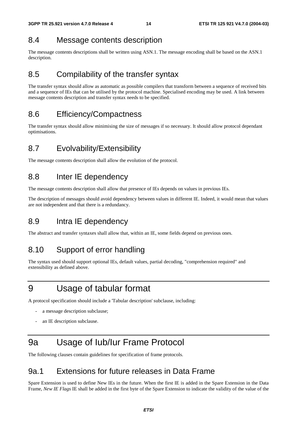# 8.4 Message contents description

The message contents descriptions shall be written using ASN.1. The message encoding shall be based on the ASN.1 description.

# 8.5 Compilability of the transfer syntax

The transfer syntax should allow as automatic as possible compilers that transform between a sequence of received bits and a sequence of IEs that can be utilised by the protocol machine. Specialised encoding may be used. A link between message contents description and transfer syntax needs to be specified.

# 8.6 Efficiency/Compactness

The transfer syntax should allow minimising the size of messages if so necessary. It should allow protocol dependant optimisations.

# 8.7 Evolvability/Extensibility

The message contents description shall allow the evolution of the protocol.

# 8.8 Inter IE dependency

The message contents description shall allow that presence of IEs depends on values in previous IEs.

The description of messages should avoid dependency between values in different IE. Indeed, it would mean that values are not independent and that there is a redundancy.

# 8.9 Intra IE dependency

The abstract and transfer syntaxes shall allow that, within an IE, some fields depend on previous ones.

# 8.10 Support of error handling

The syntax used should support optional IEs, default values, partial decoding, "comprehension required" and extensibility as defined above.

# 9 Usage of tabular format

A protocol specification should include a 'Tabular description' subclause, including:

- a message description subclause;
- an IE description subclause.

# 9a Usage of Iub/Iur Frame Protocol

The following clauses contain guidelines for specification of frame protocols.

# 9a.1 Extensions for future releases in Data Frame

Spare Extension is used to define New IEs in the future. When the first IE is added in the Spare Extension in the Data Frame, *New IE Flags* IE shall be added in the first byte of the Spare Extension to indicate the validity of the value of the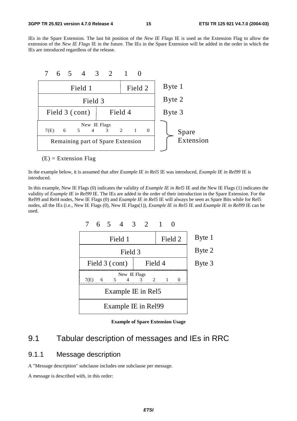IEs in the Spare Extension. The last bit position of the *New IE Flags* IE is used as the Extension Flag to allow the extension of the *New IE Flags* IE in the future. The IEs in the Spare Extension will be added in the order in which the IEs are introduced regardless of the release.



 $(E)$  = Extension Flag

In the example below, it is assumed that after *Example IE in Rel5* IE was introduced, *Example IE in Rel99* IE is introduced.

In this example, New IE Flags (0) indicates the validity of *Example IE in Rel5* IE and the New IE Flags (1) indicates the validity of *Example IE in Rel99* IE. The IEs are added in the order of their introduction in the Spare Extension. For the Rel99 and Rel4 nodes, New IE Flags (0) and *Example IE in Rel5* IE will always be seen as Spare Bits while for Rel5 nodes, all the IEs (i.e., New IE Flags (0), New IE Flags(1)), *Example IE in Rel5* IE and *Example IE in Rel99* IE can be used.



**Example of Spare Extension Usage** 

# 9.1 Tabular description of messages and IEs in RRC

### 9.1.1 Message description

A "Message description" subclause includes one subclause per message.

A message is described with, in this order: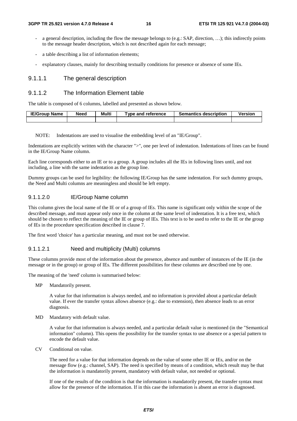- a general description, including the flow the message belongs to (e.g.: SAP, direction, ...); this indirectly points to the message header description, which is not described again for each message;
- a table describing a list of information elements;
- explanatory clauses, mainly for describing textually conditions for presence or absence of some IEs.

#### 9.1.1.1 The general description

#### 9.1.1.2 The Information Element table

The table is composed of 6 columns, labelled and presented as shown below.

| <b>IE/Group Name</b> | <b>Need</b> | Multi | Type and reference | <b>Semantics description</b> | Version |
|----------------------|-------------|-------|--------------------|------------------------------|---------|
|                      |             |       |                    |                              |         |

NOTE: Indentations are used to visualise the embedding level of an "IE/Group".

Indentations are explicitly written with the character ">", one per level of indentation. Indentations of lines can be found in the IE/Group Name column.

Each line corresponds either to an IE or to a group. A group includes all the IEs in following lines until, and not including, a line with the same indentation as the group line.

Dummy groups can be used for legibility: the following IE/Group has the same indentation. For such dummy groups, the Need and Multi columns are meaningless and should be left empty.

#### 9.1.1.2.0 IE/Group Name column

This column gives the local name of the IE or of a group of IEs. This name is significant only within the scope of the described message, and must appear only once in the column at the same level of indentation. It is a free text, which should be chosen to reflect the meaning of the IE or group of IEs. This text is to be used to refer to the IE or the group of IEs in the procedure specification described in clause 7.

The first word 'choice' has a particular meaning, and must not be used otherwise.

#### 9.1.1.2.1 Need and multiplicity (Multi) columns

These columns provide most of the information about the presence, absence and number of instances of the IE (in the message or in the group) or group of IEs. The different possibilities for these columns are described one by one.

The meaning of the 'need' column is summarised below:

MP Mandatorily present.

 A value for that information is always needed, and no information is provided about a particular default value. If ever the transfer syntax allows absence (e.g.: due to extension), then absence leads to an error diagnosis.

MD Mandatory with default value.

 A value for that information is always needed, and a particular default value is mentioned (in the "Semantical information" column). This opens the possibility for the transfer syntax to use absence or a special pattern to encode the default value.

CV Conditional on value.

 The need for a value for that information depends on the value of some other IE or IEs, and/or on the message flow (e.g.: channel, SAP). The need is specified by means of a condition, which result may be that the information is mandatorily present, mandatory with default value, not needed or optional.

 If one of the results of the condition is that the information is mandatorily present, the transfer syntax must allow for the presence of the information. If in this case the information is absent an error is diagnosed.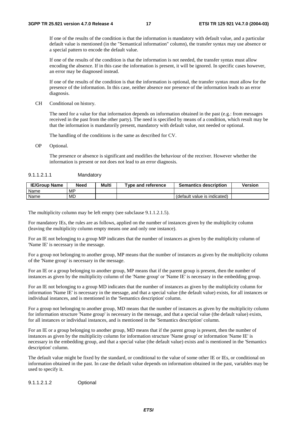If one of the results of the condition is that the information is mandatory with default value, and a particular default value is mentioned (in the "Semantical information" column), the transfer syntax may use absence or a special pattern to encode the default value.

 If one of the results of the condition is that the information is not needed, the transfer syntax must allow encoding the absence. If in this case the information is present, it will be ignored. In specific cases however, an error may be diagnosed instead.

 If one of the results of the condition is that the information is optional, the transfer syntax must allow for the presence of the information. In this case, neither absence nor presence of the information leads to an error diagnosis.

CH Conditional on history.

 The need for a value for that information depends on information obtained in the past (e.g.: from messages received in the past from the other party). The need is specified by means of a condition, which result may be that the information is mandatorily present, mandatory with default value, not needed or optional.

The handling of the conditions is the same as described for CV.

OP Optional.

 The presence or absence is significant and modifies the behaviour of the receiver. However whether the information is present or not does not lead to an error diagnosis.

| 9.1.1.2.1.1 | Mandatory |
|-------------|-----------|
|-------------|-----------|

| <b>IE/Group Name</b> | Need      | Multi | Type and reference | <b>Semantics description</b> | Version |
|----------------------|-----------|-------|--------------------|------------------------------|---------|
| Name                 | <b>MP</b> |       |                    |                              |         |
| Name                 | MD        |       |                    | (default value is indicated) |         |

The multiplicity column may be left empty (see subclause 9.1.1.2.1.5).

For mandatory IEs, the rules are as follows, applied on the number of instances given by the multiplicity column (leaving the multiplicity column empty means one and only one instance).

For an IE not belonging to a group MP indicates that the number of instances as given by the multiplicity column of 'Name IE' is necessary in the message.

For a group not belonging to another group, MP means that the number of instances as given by the multiplicity column of the 'Name group' is necessary in the message.

For an IE or a group belonging to another group, MP means that if the parent group is present, then the number of instances as given by the multiplicity column of the 'Name group' or 'Name IE' is necessary in the embedding group.

For an IE not belonging to a group MD indicates that the number of instances as given by the multiplicity column for information 'Name IE' is necessary in the message, and that a special value (the default value) exists, for all instances or individual instances, and is mentioned in the 'Semantics description' column.

For a group not belonging to another group, MD means that the number of instances as given by the multiplicity column for information structure 'Name group' is necessary in the message, and that a special value (the default value) exists, for all instances or individual instances, and is mentioned in the 'Semantics description' column.

For an IE or a group belonging to another group, MD means that if the parent group is present, then the number of instances as given by the multiplicity column for information structure 'Name group' or information 'Name IE' is necessary in the embedding group, and that a special value (the default value) exists and is mentioned in the 'Semantics description' column.

The default value might be fixed by the standard, or conditional to the value of some other IE or IEs, or conditional on information obtained in the past. In case the default value depends on information obtained in the past, variables may be used to specify it.

9.1.1.2.1.2 Optional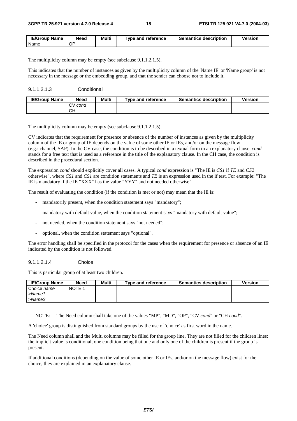| <b>IE/Group</b><br><b>Name</b> | Need | Multi | <b>Type and reference</b> | <b>Semantics description</b> | Version |
|--------------------------------|------|-------|---------------------------|------------------------------|---------|
| Name                           | ОP   |       |                           |                              |         |

The multiplicity column may be empty (see subclause 9.1.1.2.1.5).

This indicates that the number of instances as given by the multiplicity column of the 'Name IE' or 'Name group' is not necessary in the message or the embedding group, and that the sender can choose not to include it.

#### 9.1.1.2.1.3 Conditional

| <b>IE/Group Name</b> | Need              | Multi | Tvpe and reference | <b>Semantics description</b> | <b>Version</b> |
|----------------------|-------------------|-------|--------------------|------------------------------|----------------|
|                      | cond<br>$\cdot$ v |       |                    |                              |                |
|                      | CН                |       |                    |                              |                |

The multiplicity column may be empty (see subclause 9.1.1.2.1.5).

CV indicates that the requirement for presence or absence of the number of instances as given by the multiplicity column of the IE or group of IE depends on the value of some other IE or IEs, and/or on the message flow (e.g.: channel, SAP). In the CV case, the condition is to be described in a textual form in an explanatory clause. *cond* stands for a free text that is used as a reference in the title of the explanatory clause. In the CH case, the condition is described in the procedural section.

The expression *cond* should explicitly cover all cases. A typical *cond* expression is "The IE is *CS1* if *TE* and *CS2* otherwise", where *CS1* and *CS1* are condition statements and *TE* is an expression used in the if test. For example: "The IE is mandatory if the IE "XXX" has the value "YYY" and not needed otherwise".

The result of evaluating the condition (if the condition is met or not) may mean that the IE is:

- mandatorily present, when the condition statement says "mandatory";
- mandatory with default value, when the condition statement says "mandatory with default value";
- not needed, when the condition statement says "not needed";
- optional, when the condition statement says "optional".

The error handling shall be specified in the protocol for the cases when the requirement for presence or absence of an IE indicated by the condition is not followed.

#### 9.1.1.2.1.4 Choice

This is particular group of at least two children.

| <b>IE/Group Name</b> | <b>Need</b> | Multi | Type and reference | <b>Semantics description</b> | <b>Version</b> |
|----------------------|-------------|-------|--------------------|------------------------------|----------------|
| Choice name          | NOTE 1      |       |                    |                              |                |
| $>$ Name1            |             |       |                    |                              |                |
| >Name2               |             |       |                    |                              |                |

NOTE: The Need column shall take one of the values "MP", "MD", "OP", "CV *cond*" or "CH *cond*".

A 'choice' group is distinguished from standard groups by the use of 'choice' as first word in the name.

The Need column shall and the Multi columns may be filled for the group line. They are not filled for the children lines: the implicit value is conditional, one condition being that one and only one of the children is present if the group is present.

If additional conditions (depending on the value of some other IE or IEs, and/or on the message flow) exist for the choice, they are explained in an explanatory clause.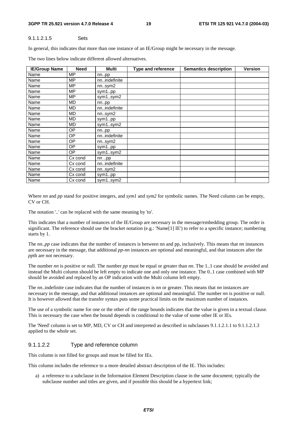#### **3GPP TR 25.921 version 4.7.0 Release 4 19 ETSI TR 125 921 V4.7.0 (2004-03)**

#### 9.1.1.2.1.5 Sets

In general, this indicates that more than one instance of an IE/Group might be necessary in the message.

| <b>IE/Group Name</b> | <b>Need</b> | <b>Multi</b> | <b>Type and reference</b> | <b>Semantics description</b> | Version |
|----------------------|-------------|--------------|---------------------------|------------------------------|---------|
| Name                 | <b>MP</b>   | nnpp         |                           |                              |         |
| Name                 | <b>MP</b>   | nnindefinite |                           |                              |         |
| Name                 | <b>MP</b>   | nnsym2       |                           |                              |         |
| Name                 | <b>MP</b>   | sym1pp       |                           |                              |         |
| Name                 | <b>MP</b>   | sym1sym2     |                           |                              |         |
| Name                 | MD          | nnpp         |                           |                              |         |
| Name                 | MD          | nnindefinite |                           |                              |         |
| Name                 | MD          | nnsym2       |                           |                              |         |
| Name                 | MD          | sym1pp       |                           |                              |         |
| Name                 | MD          | sym1sym2     |                           |                              |         |
| Name                 | OΡ          | nnpp         |                           |                              |         |
| Name                 | <b>OP</b>   | nnindefinite |                           |                              |         |
| Name                 | <b>OP</b>   | nnsym2       |                           |                              |         |
| Name                 | <b>OP</b>   | sym1pp       |                           |                              |         |
| Name                 | <b>OP</b>   | sym1sym2     |                           |                              |         |
| Name                 | Cx cond     | nnpp         |                           |                              |         |
| Name                 | Cx cond     | nnindefinite |                           |                              |         |
| Name                 | Cx cond     | nnsym2       |                           |                              |         |
| Name                 | Cx cond     | sym1pp       |                           |                              |         |
| Name                 | Cx cond     | sym1sym2     |                           |                              |         |

The two lines below indicate different allowed alternatives.

Where *nn* and *pp* stand for positive integers, and *sym1* and *sym2* for symbolic names. The Need column can be empty, CV or CH.

The notation '..' can be replaced with the same meaning by 'to'.

This indicates that a number of instances of the IE/Group are necessary in the message/embedding group. The order is significant. The reference should use the bracket notation (e.g.: 'Name[1] IE') to refer to a specific instance; numbering starts by 1.

The *nn..pp* case indicates that the number of instances is between nn and pp, inclusively. This means that *nn* instances are necessary in the message, that additional *pp*-*nn* instances are optional and meaningful, and that instances after the *pp*th are not necessary.

The number *nn* is positive or null. The number *pp* must be equal or greater than *nn*. The 1..1 case should be avoided and instead the Multi column should be left empty to indicate one and only one instance. The 0..1 case combined with MP should be avoided and replaced by an OP indication with the Multi column left empty.

The *nn*..indefinite case indicates that the number of instances is *nn* or greater. This means that *nn* instances are necessary in the message, and that additional instances are optional and meaningful. The number *nn* is positive or null. It is however allowed that the transfer syntax puts some practical limits on the maximum number of instances.

The use of a symbolic name for one or the other of the range bounds indicates that the value is given in a textual clause. This is necessary the case when the bound depends is conditional to the value of some other IE or IEs.

The 'Need' column is set to MP, MD, CV or CH and interpreted as described in subclauses 9.1.1.2.1.1 to 9.1.1.2.1.3 applied to the whole set.

#### 9.1.1.2.2 Type and reference column

This column is not filled for groups and must be filled for IEs.

This column includes the reference to a more detailed abstract description of the IE. This includes:

a) a reference to a subclause in the Information Element Description clause in the same document; typically the subclause number and titles are given, and if possible this should be a hypertext link;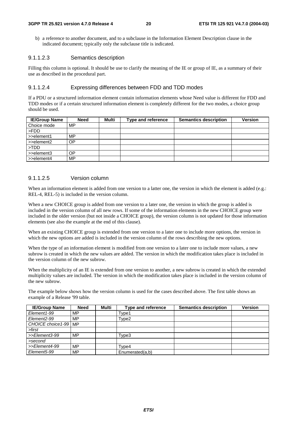b) a reference to another document, and to a subclause in the Information Element Description clause in the indicated document; typically only the subclause title is indicated.

#### 9.1.1.2.3 Semantics description

Filling this column is optional. It should be use to clarify the meaning of the IE or group of IE, as a summary of their use as described in the procedural part.

#### 9.1.1.2.4 Expressing differences between FDD and TDD modes

If a PDU or a structured information element contain information elements whose Need value is different for FDD and TDD modes or if a certain structured information element is completely different for the two modes, a choice group should be used.

| <b>IE/Group Name</b>      | <b>Need</b> | Multi | Type and reference | <b>Semantics description</b> | <b>Version</b> |
|---------------------------|-------------|-------|--------------------|------------------------------|----------------|
| Choice mode               | MP          |       |                    |                              |                |
| l >FDD                    |             |       |                    |                              |                |
| $\Rightarrow$ >>element1  | MP.         |       |                    |                              |                |
| $\Rightarrow$ >>element2  | OΡ          |       |                    |                              |                |
| $\blacktriangleright$ TDD |             |       |                    |                              |                |
| $\Rightarrow$ >>element3  | OΡ          |       |                    |                              |                |
| $\Rightarrow$ element4    | MP          |       |                    |                              |                |

#### 9.1.1.2.5 Version column

When an information element is added from one version to a latter one, the version in which the element is added (e.g.: REL-4, REL-5) is included in the version column.

When a new CHOICE group is added from one version to a later one, the version in which the group is added is included in the version column of all new rows. If some of the information elements in the new CHOICE group were included in the older version (but not inside a CHOICE group), the version column is not updated for those information elements (see also the example at the end of this clause).

When an existing CHOICE group is extended from one version to a later one to include more options, the version in which the new options are added is included in the version column of the rows describing the new options.

When the type of an information element is modified from one version to a later one to include more values, a new subrow is created in which the new values are added. The version in which the modification takes place is included in the version column of the new subrow.

When the multiplicity of an IE is extended from one version to another, a new subrow is created in which the extended multiplicity values are included. The version in which the modification takes place is included in the version column of the new subrow.

The example below shows how the version column is used for the cases described above. The first table shows an example of a Release '99 table.

| <b>IE/Group Name</b>     | <b>Need</b> | Multi | <b>Type and reference</b> | <b>Semantics description</b> | <b>Version</b> |
|--------------------------|-------------|-------|---------------------------|------------------------------|----------------|
| Element1-99              | MP          |       | Type1                     |                              |                |
| Element2-99              | MP          |       | Type2                     |                              |                |
| CHOICE choice 1-99   MP  |             |       |                           |                              |                |
| >first                   |             |       |                           |                              |                |
| >>Element3-99            | <b>MP</b>   |       | Type3                     |                              |                |
| >second                  |             |       |                           |                              |                |
| >>Element4-99            | MP          |       | Type4                     |                              |                |
| Element <sub>5</sub> -99 | MP          |       | Enumerated(a,b)           |                              |                |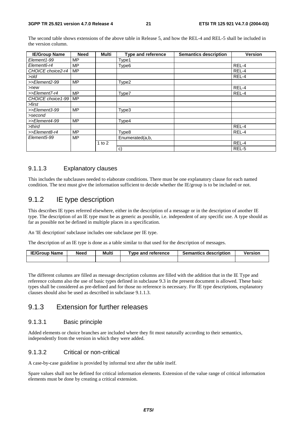The second table shows extensions of the above table in Release 5, and how the REL-4 and REL-5 shall be included in the version column.

| <b>IE/Group Name</b> | <b>Need</b> | Multi    | <b>Type and reference</b> | <b>Semantics description</b> | <b>Version</b> |
|----------------------|-------------|----------|---------------------------|------------------------------|----------------|
| Element1-99          | MP          |          | Type1                     |                              |                |
| Element6-r4          | MP          |          | Type <sub>6</sub>         |                              | REL-4          |
| CHOICE choice2-r4    | <b>MP</b>   |          |                           |                              | REL-4          |
| >old                 |             |          |                           |                              | REL-4          |
| >>Element2-99        | <b>MP</b>   |          | Type2                     |                              |                |
| $>$ new              |             |          |                           |                              | REL-4          |
| >>Element7-r4        | <b>MP</b>   |          | Type7                     |                              | REL-4          |
| CHOICE choice1-99    | <b>MP</b>   |          |                           |                              |                |
| >first               |             |          |                           |                              |                |
| >>Element3-99        | <b>MP</b>   |          | Type3                     |                              |                |
| >second              |             |          |                           |                              |                |
| >>Element4-99        | МP          |          | Type4                     |                              |                |
| >third               |             |          |                           |                              | REL-4          |
| >>Element8-r4        | <b>MP</b>   |          | Type8                     |                              | REL-4          |
| Element5-99          | <b>MP</b>   |          | Enumerated(a,b,           |                              |                |
|                      |             | 1 to $2$ |                           |                              | REL-4          |
|                      |             |          | C)                        |                              | REL-5          |

#### 9.1.1.3 Explanatory clauses

This includes the subclauses needed to elaborate conditions. There must be one explanatory clause for each named condition. The text must give the information sufficient to decide whether the IE/group is to be included or not.

### 9.1.2 IE type description

This describes IE types referred elsewhere, either in the description of a message or in the description of another IE type. The description of an IE type must be as generic as possible, i.e. independent of any specific use. A type should as far as possible not be defined in multiple places in a specification.

An 'IE description' subclause includes one subclause per IE type.

The description of an IE type is done as a table similar to that used for the description of messages.

| <b>IE/Group Name</b> | Need | Multi | $\tau$ vpe and reference | <b>Semantics description</b> | /ersion |
|----------------------|------|-------|--------------------------|------------------------------|---------|
|                      |      |       |                          |                              |         |

The different columns are filled as message description columns are filled with the addition that in the IE Type and reference column also the use of basic types defined in subclause 9.3 in the present document is allowed. These basic types shall be considered as pre-defined and for those no reference is necessary. For IE type descriptions, explanatory clauses should also be used as described in subclause 9.1.1.3.

### 9.1.3 Extension for further releases

#### 9.1.3.1 Basic principle

Added elements or choice branches are included where they fit most naturally according to their semantics, independently from the version in which they were added.

#### 9.1.3.2 Critical or non-critical

A case-by-case guideline is provided by informal text after the table itself.

Spare values shall not be defined for critical information elements. Extension of the value range of critical information elements must be done by creating a critical extension.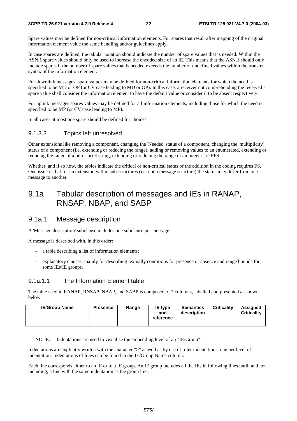#### **3GPP TR 25.921 version 4.7.0 Release 4 22 ETSI TR 125 921 V4.7.0 (2004-03)**

Spare values may be defined for non-critical information elements. For spares that result after mapping of the original information element value the same handling and/or guidelines apply.

In case spares are defined, the tabular notation should indicate the number of spare values that is needed. Within the ASN.1 spare values should only be used to increase the encoded size of an IE. This means that the ASN.1 should only include spares if the number of spare values that is needed exceeds the number of undefined values within the transfer syntax of the information element.

For downlink messages, spare values may be defined for non-critical information elements for which the need is specified to be MD or OP (or CV case leading to MD or OP). In this case, a receiver not comprehending the received a spare value shall consider the information element to have the default value or consider it to be absent respectively.

For uplink messages spares values may be defined for all information elements, including those for which the need is specified to be MP (or CV case leading to MP).

In all cases at most one spare should be defined for choices.

#### 9.1.3.3 Topics left unresolved

Other extensions like removing a component, changing the 'Needed' status of a component, changing the 'multiplicity' status of a component (i.e. extending or reducing the range), adding or removing values to an enumerated, extending or reducing the range of a bit or octet string, extending or reducing the range of an integer are FFS.

Whether, and if so how, the tables indicate the critical or non-critical status of the addition in the coding requires FS. One issue is that for an extension within sub-structures (i.e. not a message structure) the status may differ from one message to another.

# 9.1a Tabular description of messages and IEs in RANAP, RNSAP, NBAP, and SABP

### 9.1a.1 Message description

A 'Message description' subclause includes one subclause per message.

A message is described with, in this order:

- a table describing a list of information elements;
- explanatory clauses, mainly for describing textually conditions for presence or absence and range bounds for some IEs/IE groups.

#### 9.1a.1.1 The Information Element table

The table used in RANAP, RNSAP, NBAP, and SABP is composed of 7 columns, labelled and presented as shown below.

| <b>IE/Group Name</b> | <b>Presence</b> | Range | IE type<br>and<br>reference | <b>Semantics</b><br>description | <b>Criticality</b> | <b>Assigned</b><br><b>Criticality</b> |
|----------------------|-----------------|-------|-----------------------------|---------------------------------|--------------------|---------------------------------------|
|                      |                 |       |                             |                                 |                    |                                       |

NOTE: Indentations are used to visualise the embedding level of an "IE/Group".

Indentations are explicitly written with the character ">" as well as by use of ruler indentations, one per level of indentation. Indentations of lines can be found in the IE/Group Name column.

Each line corresponds either to an IE or to a IE group. An IE group includes all the IEs in following lines until, and not including, a line with the same indentation as the group line.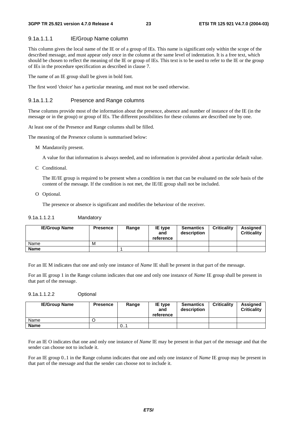#### 9.1a.1.1.1 IE/Group Name column

This column gives the local name of the IE or of a group of IEs. This name is significant only within the scope of the described message, and must appear only once in the column at the same level of indentation. It is a free text, which should be chosen to reflect the meaning of the IE or group of IEs. This text is to be used to refer to the IE or the group of IEs in the procedure specification as described in clause 7.

The name of an IE group shall be given in bold font.

The first word 'choice' has a particular meaning, and must not be used otherwise.

#### 9.1a.1.1.2 Presence and Range columns

These columns provide most of the information about the presence, absence and number of instance of the IE (in the message or in the group) or group of IEs. The different possibilities for these columns are described one by one.

At least one of the Presence and Range columns shall be filled.

The meaning of the Presence column is summarised below:

M Mandatorily present.

A value for that information is always needed, and no information is provided about a particular default value.

C Conditional.

 The IE/IE group is required to be present when a condition is met that can be evaluated on the sole basis of the content of the message. If the condition is not met, the IE/IE group shall not be included.

O Optional.

The presence or absence is significant and modifies the behaviour of the receiver.

#### 9.1a.1.1.2.1 Mandatory

| <b>IE/Group Name</b> | <b>Presence</b> | Range | IE type<br>and<br>reference | <b>Semantics</b><br>description | <b>Criticality</b> | Assigned<br><b>Criticality</b> |
|----------------------|-----------------|-------|-----------------------------|---------------------------------|--------------------|--------------------------------|
| Name                 | M               |       |                             |                                 |                    |                                |
| <b>Name</b>          |                 |       |                             |                                 |                    |                                |

For an IE M indicates that one and only one instance of *Name* IE shall be present in that part of the message.

For an IE group 1 in the Range column indicates that one and only one instance of *Name* IE group shall be present in that part of the message.

#### 9.1a.1.1.2.2 Optional

| <b>IE/Group Name</b> | <b>Presence</b> | Range | IE type<br>and<br>reference | <b>Semantics</b><br>description | <b>Criticality</b> | Assigned<br><b>Criticality</b> |
|----------------------|-----------------|-------|-----------------------------|---------------------------------|--------------------|--------------------------------|
| Name                 |                 |       |                             |                                 |                    |                                |
| <b>Name</b>          |                 | 0     |                             |                                 |                    |                                |

For an IE O indicates that one and only one instance of *Name* IE may be present in that part of the message and that the sender can choose not to include it.

For an IE group 0..1 in the Range column indicates that one and only one instance of *Name* IE group may be present in that part of the message and that the sender can choose not to include it.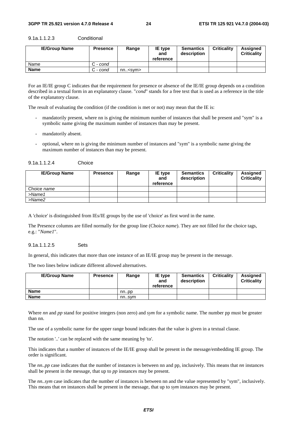| <b>IE/Group Name</b> | <b>Presence</b> | Range          | IE type<br>and<br>reference | <b>Semantics</b><br>description | <b>Criticality</b> | Assigned<br><b>Criticality</b> |
|----------------------|-----------------|----------------|-----------------------------|---------------------------------|--------------------|--------------------------------|
| Name                 | C - cond        |                |                             |                                 |                    |                                |
| <b>Name</b>          | C - cond        | $nn.<$ svm $>$ |                             |                                 |                    |                                |

9.1a.1.1.2.3 Conditional

For an IE/IE group C indicates that the requirement for presence or absence of the IE/IE group depends on a condition described in a textual form in an explanatory clause. "*cond*" stands for a free text that is used as a reference in the title of the explanatory clause.

The result of evaluating the condition (if the condition is met or not) may mean that the IE is:

- mandatorily present, where nn is giving the minimum number of instances that shall be present and "sym" is a symbolic name giving the maximum number of instances than may be present.
- mandatorily absent.
- optional, where nn is giving the minimum number of instances and "sym" is a symbolic name giving the maximum number of instances than may be present.

| <b>IE/Group Name</b> | <b>Presence</b> | Range | IE type<br>and<br>reference | <b>Semantics</b><br>description | <b>Criticality</b> | Assigned<br><b>Criticality</b> |
|----------------------|-----------------|-------|-----------------------------|---------------------------------|--------------------|--------------------------------|
| Choice name          |                 |       |                             |                                 |                    |                                |
| $>$ Name1            |                 |       |                             |                                 |                    |                                |
| $>$ Name $2$         |                 |       |                             |                                 |                    |                                |

A 'choice' is distinguished from IEs/IE groups by the use of 'choice' as first word in the name.

The Presence columns are filled normally for the group line (Choice *name*). They are not filled for the choice tags, e.g.: "*Name1*".

#### 9.1a.1.1.2.5 Sets

In general, this indicates that more than one instance of an IE/IE group may be present in the message.

The two lines below indicate different allowed alternatives.

| <b>IE/Group Name</b> | <b>Presence</b> | Range | IE type<br>and<br>reference | <b>Semantics</b><br>description | <b>Criticality</b> | <b>Assigned</b><br><b>Criticality</b> |
|----------------------|-----------------|-------|-----------------------------|---------------------------------|--------------------|---------------------------------------|
| Name                 |                 | nnpp  |                             |                                 |                    |                                       |
| Name                 |                 | nnsvm |                             |                                 |                    |                                       |

Where *nn* and *pp* stand for positive integers (non zero) and *sym* for a symbolic name. The number pp must be greater than nn.

The use of a symbolic name for the upper range bound indicates that the value is given in a textual clause.

The notation '..' can be replaced with the same meaning by 'to'.

This indicates that a number of instances of the IE/IE group shall be present in the message/embedding IE group. The order is significant.

The *nn..pp* case indicates that the number of instances is between nn and pp, inclusively. This means that *nn* instances shall be present in the message, that up to *pp* instances may be present.

The *nn..sym* case indicates that the number of instances is between nn and the value represented by "sym", inclusively. This means that *nn* instances shall be present in the message, that up to *sym* instances may be present.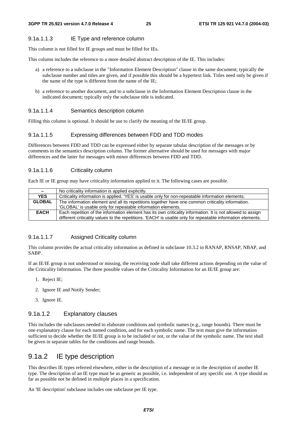#### 9.1a.1.1.3 IE Type and reference column

This column is not filled for IE groups and must be filled for IEs.

This column includes the reference to a more detailed abstract description of the IE. This includes:

- a) a reference to a subclause in the "Information Element Description" clause in the same document; typically the subclause number and titles are given, and if possible this should be a hypertext link. Titles need only be given if the name of the type is different from the name of the IE;
- b) a reference to another document, and to a subclause in the Information Element Description clause in the indicated document; typically only the subclause title is indicated.

#### 9.1a.1.1.4 Semantics description column

Filling this column is optional. It should be use to clarify the meaning of the IE/IE group.

#### 9.1a.1.1.5 Expressing differences between FDD and TDD modes

Differences between FDD and TDD can be expressed either by separate tabular description of the messages or by comments in the semantics description column. The former alternative should be used for messages with major differences and the latter for messages with minor differences between FDD and TDD.

#### 9.1a.1.1.6 Criticality column

Each IE or IE group may have criticality information applied to it. The following cases are possible.

| $\sim$        | No criticality information is applied explicitly.                                                           |
|---------------|-------------------------------------------------------------------------------------------------------------|
| <b>YES</b>    | Criticality information is applied. 'YES' is usable only for non-repeatable information elements.           |
| <b>GLOBAL</b> | The information element and all its repetitions together have one common criticality information.           |
|               | 'GLOBAL' is usable only for repeatable information elements.                                                |
| <b>EACH</b>   | Each repetition of the information element has its own criticality information. It is not allowed to assign |
|               | different criticality values to the repetitions. 'EACH' is usable only for repeatable information elements. |

#### 9.1a.1.1.7 Assigned Criticality column

This column provides the actual criticality information as defined in subclause 10.3.2 in RANAP, RNSAP, NBAP, and SABP.

If an IE/IE group is not understood or missing, the receiving node shall take different actions depending on the value of the Criticality Information. The three possible values of the Criticality Information for an IE/IE group are:

- 1. Reject IE;
- 2. Ignore IE and Notify Sender;
- 3. Ignore IE.

#### 9.1a.1.2 Explanatory clauses

This includes the subclauses needed to elaborate conditions and symbolic names (e.g., range bounds). There must be one explanatory clause for each named condition, and for each symbolic name. The text must give the information sufficient to decide whether the IE/IE group is to be included or not, or the value of the symbolic name. The text shall be given in separate tables for the conditions and range bounds.

### 9.1a.2 IE type description

This describes IE types referred elsewhere, either in the description of a message or in the description of another IE type. The description of an IE type must be as generic as possible, i.e. independent of any specific use. A type should as far as possible not be defined in multiple places in a specification.

An 'IE description' subclause includes one subclause per IE type.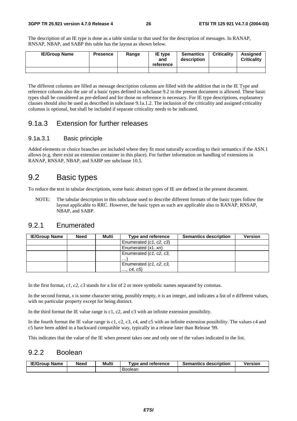The description of an IE type is done as a table similar to that used for the description of messages. In RANAP, RNSAP, NBAP, and SABP this table has the layout as shown below.

| <b>IE/Group Name</b> | <b>Presence</b> | Range | <b>IE</b> type<br>and<br>reference | <b>Semantics</b><br>description | <b>Criticality</b> | Assianed<br><b>Criticality</b> |
|----------------------|-----------------|-------|------------------------------------|---------------------------------|--------------------|--------------------------------|
|                      |                 |       |                                    |                                 |                    |                                |

The different columns are filled as message description columns are filled with the addition that in the IE Type and reference column also the use of a basic types defined in subclause 9.2 in the present document is allowed. These basic types shall be considered as pre-defined and for those no reference is necessary. For IE type descriptions, explanatory clauses should also be used as described in subclause 9.1a.1.2. The inclusion of the criticality and assigned criticality columns is optional, but shall be included if separate criticality needs to be indicated.

### 9.1a.3 Extension for further releases

#### 9.1a.3.1 Basic principle

Added elements or choice branches are included where they fit most naturally according to their semantics if the ASN.1 allows (e.g. there exist an extension container in this place). For further information on handling of extensions in RANAP, RNSAP, NBAP, and SABP see subclause 10.5.

### 9.2 Basic types

To reduce the text in tabular descriptions, some basic abstract types of IE are defined in the present document.

NOTE: The tabular description in this subclause used to describe different formats of the basic types follow the layout applicable to RRC. However, the basic types as such are applicable also to RANAP, RNSAP, NBAP, and SABP.

### 9.2.1 Enumerated

| <b>IE/Group Name</b> | <b>Need</b> | Multi | Type and reference      | <b>Semantics description</b> | <b>Version</b> |
|----------------------|-------------|-------|-------------------------|------------------------------|----------------|
|                      |             |       | Enumerated (c1, c2, c3) |                              |                |
|                      |             |       | Enumerated (x1xn)       |                              |                |
|                      |             |       | Enumerated (c1, c2, c3, |                              |                |
|                      |             |       | $\cdots$                |                              |                |
|                      |             |       | Enumerated (c1, c2, c3, |                              |                |
|                      |             |       | , c4, c5)               |                              |                |

In the first format, *c1*, *c2*, *c3* stands for a list of 2 or more symbolic names separated by commas.

In the second format, *x* is some character string, possibly empty, *n* is an integer, and indicates a list of *n* different values, with no particular property except for being distinct.

In the third format the IE value range is c1, c2, and c3 with an infinite extension possibility.

In the fourth format the IE value range is c1, c2, c3, c4, and c5 with an infinite extension possibility. The values c4 and c5 have been added in a backward compatible way, typically in a release later than Release '99.

This indicates that the value of the IE when present takes one and only one of the values indicated in the list.

### 9.2.2 Boolean

| <b>IE/Group Name</b> | Need | Multi | <b>T</b> vpe and reference | <b>Semantics description</b> | <b>Version</b> |
|----------------------|------|-------|----------------------------|------------------------------|----------------|
|                      |      |       | Boolean                    |                              |                |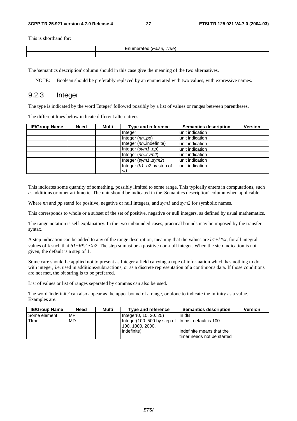This is shorthand for:

|  | –<br>rue. |  |
|--|-----------|--|
|  |           |  |

The 'semantics description' column should in this case give the meaning of the two alternatives.

NOTE: Boolean should be preferably replaced by an enumerated with two values, with expressive names.

### 9.2.3 Integer

The type is indicated by the word 'Integer' followed possibly by a list of values or ranges between parentheses.

The different lines below indicate different alternatives.

| <b>IE/Group Name</b> | <b>Need</b> | Multi | <b>Type and reference</b> | <b>Semantics description</b> | <b>Version</b> |
|----------------------|-------------|-------|---------------------------|------------------------------|----------------|
|                      |             |       | Integer                   | unit indication              |                |
|                      |             |       | Integer (nnpp)            | unit indication              |                |
|                      |             |       | Integer (nnindefinite)    | unit indication              |                |
|                      |             |       | Integer $(sym1pp)$        | unit indication              |                |
|                      |             |       | Integer (nnsym2)          | unit indication              |                |
|                      |             |       | Integer $(sym1sym2)$      | unit indication              |                |
|                      |             |       | Integer (b1b2 by step of  | unit indication              |                |
|                      |             |       | st)                       |                              |                |

This indicates some quantity of something, possibly limited to some range. This typically enters in computations, such as additions or other arithmetic. The unit should be indicated in the 'Semantics description' column when applicable.

Where *nn* and *pp* stand for positive, negative or null integers, and *sym1* and *sym2* for symbolic names.

This corresponds to whole or a subset of the set of positive, negative or null integers, as defined by usual mathematics.

The range notation is self-explanatory. In the two unbounded cases, practical bounds may be imposed by the transfer syntax.

A step indication can be added to any of the range description, meaning that the values are *b1+k\*st*, for all integral values of k such that  $b1+k^*st \leq b2$ . The step *st* must be a positive non-null integer. When the step indication is not given, the default is a step of 1.

Some care should be applied not to present as Integer a field carrying a type of information which has nothing to do with integer, i.e. used in additions/subtractions, or as a discrete representation of a continuous data. If those conditions are not met, the bit string is to be preferred.

List of values or list of ranges separated by commas can also be used.

The word 'indefinite' can also appear as the upper bound of a range, or alone to indicate the infinity as a value. Examples are:

| <b>IE/Group Name</b> | <b>Need</b> | Multi | Type and reference                                                     | <b>Semantics description</b> | <b>Version</b> |
|----------------------|-------------|-------|------------------------------------------------------------------------|------------------------------|----------------|
| l Some element       | MP          |       | Integer(0, 10, 2025)                                                   | In $dB$                      |                |
| <b>Timer</b>         | MD.         |       | Integer (100500 by step of   In ms, default is 100<br>100, 1000, 2000, |                              |                |
|                      |             |       | indefinite)                                                            | Indefinite means that the    |                |
|                      |             |       |                                                                        | timer needs not be started   |                |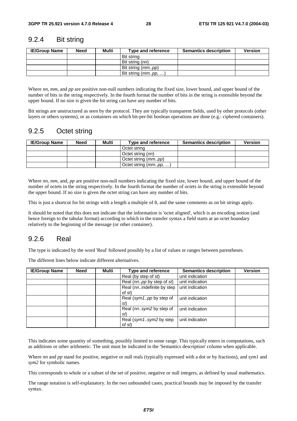### 9.2.4 Bit string

| <b>IE/Group Name</b> | <b>Need</b> | Multi | Type and reference  | <b>Semantics description</b> | <b>Version</b> |
|----------------------|-------------|-------|---------------------|------------------------------|----------------|
|                      |             |       | Bit string          |                              |                |
|                      |             |       | Bit string (nn)     |                              |                |
|                      |             |       | Bit string (mmpp)   |                              |                |
|                      |             |       | Bit string (mmpp, ) |                              |                |

Where *nn*, *mm*, and *pp* are positive non-null numbers indicating the fixed size, lower bound, and upper bound of the number of bits in the string respectively. In the fourth format the number of bits in the string is extensible beyond the upper bound. If no size is given the bit string can have any number of bits.

Bit strings are unstructured as seen by the protocol. They are typically transparent fields, used by other protocols (other layers or others systems), or as containers on which bit-per-bit boolean operations are done (e.g.: ciphered containers).

### 9.2.5 Octet string

| <b>IE/Group Name</b> | Need | Multi | Type and reference           | <b>Semantics description</b> | <b>Version</b> |
|----------------------|------|-------|------------------------------|------------------------------|----------------|
|                      |      |       | Octet string                 |                              |                |
|                      |      |       | Octet string (nn)            |                              |                |
|                      |      |       | Octet string ( <i>mmpp</i> ) |                              |                |
|                      |      |       | Octet string $(mm. pp, )$    |                              |                |

Where *nn*, *mm*, and, *pp* are positive non-null numbers indicating the fixed size, lower bound, and upper bound of the number of octets in the string respectively. In the fourth format the number of octets in the string is extensible beyond the upper bound. If no size is given the octet string can have any number of bits.

This is just a shortcut for bit strings with a length a multiple of 8, and the same comments as on bit strings apply.

It should be noted that this does not indicate that the information is 'octet aligned', which is an encoding notion (and hence foreign to the tabular format) according to which in the transfer syntax a field starts at an octet boundary relatively to the beginning of the message (or other container).

### 9.2.6 Real

The type is indicated by the word 'Real' followed possibly by a list of values or ranges between parentheses.

The different lines below indicate different alternatives.

| <b>IE/Group Name</b> | <b>Need</b> | Multi | <b>Type and reference</b>            | <b>Semantics description</b> | <b>Version</b> |
|----------------------|-------------|-------|--------------------------------------|------------------------------|----------------|
|                      |             |       | Real (by step of st)                 | unit indication              |                |
|                      |             |       | Real (nnpp by step of st)            | unit indication              |                |
|                      |             |       | Real (nnindefinite by step<br>of st) | unit indication              |                |
|                      |             |       | Real (sym1pp by step of<br>st)       | unit indication              |                |
|                      |             |       | Real (nnsym2 by step of<br>st)       | unit indication              |                |
|                      |             |       | Real (sym1sym2 by step<br>of st      | unit indication              |                |

This indicates some quantity of something, possibly limited to some range. This typically enters in computations, such as additions or other arithmetic. The unit must be indicated in the 'Semantics description' column when applicable.

Where *nn* and *pp* stand for positive, negative or null reals (typically expressed with a dot or by fractions), and *sym1* and *sym2* for symbolic names.

This corresponds to whole or a subset of the set of positive, negative or null integers, as defined by usual mathematics.

The range notation is self-explanatory. In the two unbounded cases, practical bounds may be imposed by the transfer syntax.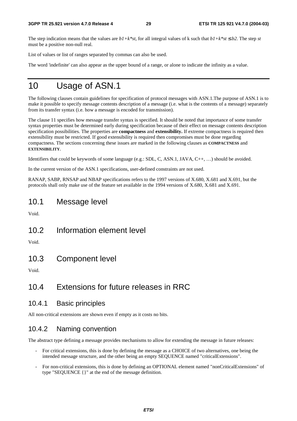The step indication means that the values are  $b1+k*st$ , for all integral values of k such that  $b1+k*st \leq b2$ . The step *st* must be a positive non-null real.

List of values or list of ranges separated by commas can also be used.

The word 'indefinite' can also appear as the upper bound of a range, or alone to indicate the infinity as a value.

# 10 Usage of ASN.1

The following clauses contain guidelines for specification of protocol messages with ASN.1.The purpose of ASN.1 is to make it possible to specify message contents description of a message (i.e. what is the contents of a message) separately from its transfer syntax (i.e. how a message is encoded for transmission).

The clause 11 specifies how message transfer syntax is specified. It should be noted that importance of some transfer syntax properties must be determined early during specification because of their effect on message contents description specification possibilities. The properties are **compactness** and **extensibility.** If extreme compactness is required then extensibility must be restricted. If good extensibility is required then compromises must be done regarding compactness. The sections concerning these issues are marked in the following clauses as **COMPACTNESS** and **EXTENSIBILITY**.

Identifiers that could be keywords of some language (e.g.: SDL, C, ASN.1, JAVA, C++, …) should be avoided.

In the current version of the ASN.1 specifications, user-defined constraints are not used.

RANAP, SABP, RNSAP and NBAP specifications refers to the 1997 versions of X.680, X.681 and X.691, but the protocols shall only make use of the feature set available in the 1994 versions of X.680, X.681 and X.691.

### 10.1 Message level

Void.

10.2 Information element level

Void.

10.3 Component level

Void.

## 10.4 Extensions for future releases in RRC

#### 10.4.1 Basic principles

All non-critical extensions are shown even if empty as it costs no bits.

### 10.4.2 Naming convention

The abstract type defining a message provides mechanisms to allow for extending the message in future releases:

- For critical extensions, this is done by defining the message as a CHOICE of two alternatives, one being the intended message structure, and the other being an empty SEQUENCE named "criticalExtensions".
- For non-critical extensions, this is done by defining an OPTIONAL element named "nonCriticalExtensions" of type "SEQUENCE {}" at the end of the message definition.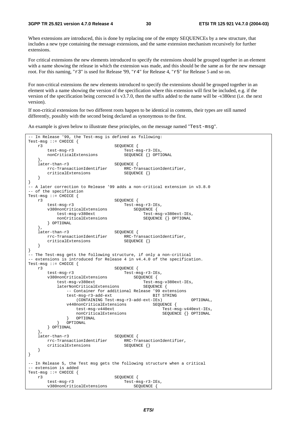When extensions are introduced, this is done by replacing one of the empty SEQUENCEs by a new structure, that includes a new type containing the message extensions, and the same extension mechanism recursively for further extensions.

For critical extensions the new elements introduced to specify the extensions should be grouped together in an element with a name showing the release in which the extension was made, and this should be the same as for the new message root. For this naming, "r3" is used for Release '99, "r4" for Release 4, "r5" for Release 5 and so on.

For non-critical extensions the new elements introduced to specify the extensions should be grouped together in an element with a name showing the version of the specification where this extension will first be included, e.g. if the version of the specification being corrected is v3.7.0, then the suffix added to the name will be -v380ext (i.e. the next version).

If non-critical extensions for two different roots happen to be identical in contents, their types are still named differently, possibly with the second being declared as synonymous to the first.

An example is given below to illustrate these principles, on the message named "Test-msg".

```
-- In Release '99, the Test-msg is defined as following: 
Test-msg ::= CHOICE \{r3SEQUENCE {
        test-msg-r3 Test-msg-r3-IEs, 
       nonCriticalExtensions SEQUENCE {} OPTIONAL 
 }, 
   later-than-r3 SEQUENCE {<br>rrc-TransactionIdentifier RRC-Tr
                               RRC-TransactionIdentifier,
      criticalExtensions SEQUENCE {}
    } 
} 
-- A later correction to Release '99 adds a non-critical extension in v3.8.0 
-- of the specification 
Test-msg ::= CHOICE { 
   r3 SEQUENCE {<br>test-msg-r3 Test-ms
                                test-msg-r3 Test-msg-r3-IEs, 
        v380nonCriticalExtensions SEQUENCE { 
          test-msg-v380ext Test-msg-v380ext-IEs,
          nonCriticalExtensions SEQUENCE {} OPTIONAL
        } OPTIONAL 
   },<br>later-than-r3
                              SEQUENCE {
       rrc-TransactionIdentifier RRC-TransactionIdentifier, 
       criticalExtensions SEQUENCE {}
    } 
} 
-- The Test-msg gets the following structure, if only a non-critical 
-- extensions is introduced for Release 4 in v4.4.0 of the specification. 
Test-msg ::= CHOICE { 
 r3 SEQUENCE { 
 test-msg-r3 Test-msg-r3-IEs, 
v380nonCriticalExtensions  SEQUENCE {
test-msg-v380ext Test-msg-v380ext-IEs,
laterNonCriticalExtensions   SEQUENCE {
               -- Container for additional Release '99 extensions 
              test-msg-r3-add-ext BIT STRING
                   (CONTAINING Test-msg-r3-add-ext-IEs) OPTIONAL, 
              v440nonCriticalExtensions SEQUENCE {
                  test-msg-v440ext Test-msg-v440ext-IEs, 
                 nonCriticalExtensions SEQUENCE {} OPTIONAL
          } OPTIONAL<br>} OPTIONAL
              OPTIONAL
        } OPTIONAL 
    }, 
   later-than-r3 SEQUENCE {<br>rrc-TransactionIdentifier RRC-Tr
                               RRC-TransactionIdentifier,<br>SEQUENCE {}
      criticalExtensions
    } 
} 
-- In Release 5, the Test msg gets the following structure when a critical 
-- extension is added 
Test-msg ::= CHOICE \{r3SEQUENCE {
        test-msg-r3 Test-msg-r3-IEs, 
        v380nonCriticalExtensions SEQUENCE {
```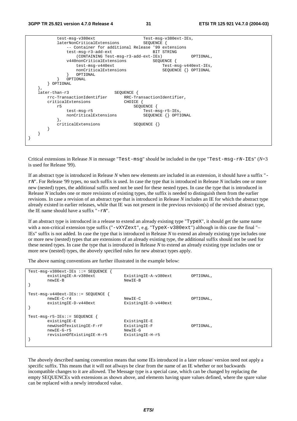|               | test-msg-v380ext                                   | Test-msg-v380ext-IEs,      |
|---------------|----------------------------------------------------|----------------------------|
|               | laterNonCriticalExtensions                         | SEOUENCE                   |
|               | -- Container for additional Release '99 extensions |                            |
|               | test-msq-r3-add-ext                                | BIT STRING                 |
|               | (CONTAINING Test-msg-r3-add-ext-IEs)               | OPTIONAL,                  |
|               | v440nonCriticalExtensions                          | SEOUENCE                   |
|               | test-msg-v440ext                                   | Test-msg-v440ext-IEs,      |
|               | nonCriticalExtensions                              | SEQUENCE {} OPTIONAL       |
|               | OPTIONAL                                           |                            |
|               | OPTIONAL                                           |                            |
|               |                                                    |                            |
|               | OPTIONAL                                           |                            |
|               |                                                    |                            |
| later-than-r3 | SEQUENCE {                                         |                            |
|               | rrc-TransactionIdentifier                          | RRC-TransactionIdentifier, |
|               | criticalExtensions<br>CHOICE {                     |                            |
|               | r5                                                 | SEQUENCE                   |
|               | test-msg-r5                                        | Test-msg-r5-IEs,           |
|               | nonCriticalExtensions                              | SEOUENCE<br>OPTIONAL       |
|               |                                                    |                            |
|               | criticalExtensions                                 | $SEQUENCE$ $\{\}$          |
|               |                                                    |                            |
|               |                                                    |                            |
|               |                                                    |                            |
|               |                                                    |                            |
|               |                                                    |                            |

Critical extensions in Release *N* in message "Test-msg" should be included in the type "Test-msg-rN-IEs" (*N*=3 is used for Release '99).

If an abstract type is introduced in Release *N* when new elements are included in an extension, it should have a suffix " rN". For Release '99 types, no such suffix is used. In case the type that is introduced in Release *N* includes one or more new (nested) types, the additional suffix need not be used for these nested types. In case the type that is introduced in Release *N* includes one or more revisions of existing types, the suffix is needed to distinguish them from the earlier revisions. In case a revision of an abstract type that is introduced in Release *N* includes an IE for which the abstract type already existed in earlier releases, while that IE was not present in the previous revision(s) of the revised abstract type, the IE name should have a suffix " $-rN$ ".

If an abstract type is introduced in a release to extend an already existing type "TypeX", it should get the same name with a non-critical extension type suffix ("-vXYZext", e.g. "TypeX-v380ext") although in this case the final "-IEs" suffix is not added. In case the type that is introduced in Release *N* to extend an already existing type includes one or more new (nested) types that are extensions of an already existing type, the additional suffix should not be used for these nested types. In case the type that is introduced in Release *N* to extend an already existing type includes one or more new (nested) types, the abovely specified rules for new abstract types apply.

The above naming conventions are further illustrated in the example below:

| $Test-msq-v380ext-IEs :: = SEOUENCE$<br>existingIE-A-v380ext<br>newIE-B                                               | ExistingIE-A-v380ext<br>NewIE-B                            | OPTIONAL, |
|-----------------------------------------------------------------------------------------------------------------------|------------------------------------------------------------|-----------|
| $Test-msq-v440ext-IES::= SEOUENCE$<br>$newIF-C-r4$<br>existingIE-D-v440ext                                            | $NewIE-C$<br>ExistingIE-D-v440ext                          | OPTIONAL, |
| $Test-msq-r5-IES::= SEQUENCE$<br>existingIE-E<br>newUseOfexistingIE-F-rF<br>$newIE-G-r5$<br>revisionOfExistingIE-H-r5 | ExistingIE-E<br>ExistingIE-F<br>NewIE-G<br>ExistingIE-H-r5 | OPTIONAL, |

The abovely described naming convention means that some IEs introduced in a later release/ version need not apply a specific suffix. This means that it will not allways be clear from the name of an IE whether or not backwards incompatible changes to it are allowed. The Message type is a special case, which can be changed by replacing the empty SEQUENCEs with extensions as shown above, and elements having spare values defined, where the spare value can be replaced with a newly introduced value.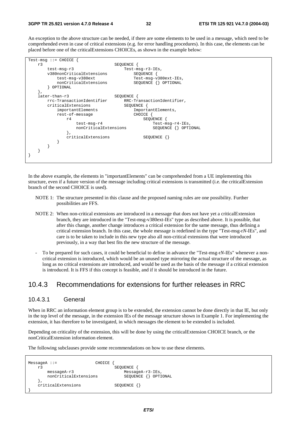An exception to the above structure can be needed, if there are some elements to be used in a message, which need to be comprehended even in case of critical extensions (e.g. for error handling procedures). In this case, the elements can be placed before one of the criticalExtensions CHOICEs, as shown in the example below:

|    | $Test-msq ::=CHOICE$      |                            |
|----|---------------------------|----------------------------|
| r3 |                           | SEOUENCE                   |
|    | $test-msq-r3$             | Test-msg-r3-IEs,           |
|    | v380nonCriticalExtensions | SEQUENCE                   |
|    | test-msg-v380ext          | Test-msg-v380ext-IEs,      |
|    | nonCriticalExtensions     | SEQUENCE {} OPTIONAL       |
|    | OPTIONAL                  |                            |
|    |                           |                            |
|    | later-than-r3             | SEOUENCE                   |
|    | rrc-TransactionIdentifier | RRC-TransactionIdentifier, |
|    | criticalExtensions        | SEOUENCE {                 |
|    | importantElements         | ImportantElements,         |
|    | rest-of-message           | CHOICE                     |
|    | r4                        | SEOUENCE                   |
|    | $test-msq-r4$             | $Test-msq-r4-IEs$ ,        |
|    | nonCriticalExtensions     | SEQUENCE {}<br>OPTIONAL    |
|    |                           |                            |
|    | criticalExtensions        | $SEQUENCE$ $\{\}$          |
|    |                           |                            |
|    |                           |                            |
|    |                           |                            |
|    |                           |                            |
|    |                           |                            |

In the above example, the elements in "importantElements" can be comprehended from a UE implementing this structure, even if a future version of the message including critical extensions is transmitted (i.e. the criticalExtension branch of the second CHOICE is used).

- NOTE 1: The structure presented in this clause and the proposed naming rules are one possibility. Further possibilities are FFS.
- NOTE 2: When non-critical extensions are introduced in a message that does not have yet a criticalExtension branch, they are introduced in the "Test-msg-v380ext-IEs" type as described above. It is possible, that after this change, another change introduces a critical extension for the same message, thus defining a critical extension branch. In this case, the whole message is redefined in the type "Test-msg-r*N*-IEs", and care is to be taken to include in this new type also all non-critical extensions that were introduced previously, in a way that best fits the new structure of the message.
- To be prepared for such cases, it could be beneficial to define in advance the "Test-msg-r*N*-IEs" whenever a noncritical extension is introduced, which would be an unused type mirroring the actual structure of the message, as long as no critical extensions are introduced, and would be used as the basis of the message if a critical extension is introduced. It is FFS if this concept is feasible, and if it should be introduced in the future.

### 10.4.3 Recommendations for extensions for further releases in RRC

#### 10.4.3.1 General

When in RRC an information element group is to be extended, the extension cannot be done directly in that IE, but only in the top level of the message, in the extension IEs of the message structure shown in Example 1. For implementing the extension, it has therefore to be investigated, in which messages the element to be extended is included.

Depending on criticality of the extension, this will be done by using the criticalExtension CHOICE branch, or the nonCriticalExtension information element.

The following subclauses provide some recommendations on how to use these elements.

```
MessageA ::= CHOICE {
   r3 SEQUENCE { 
      messageA-r3 MessageA-r3-IEs, 
     nonCriticalExtensions
   }, 
   criticalExtensions SEQUENCE {} 
}
```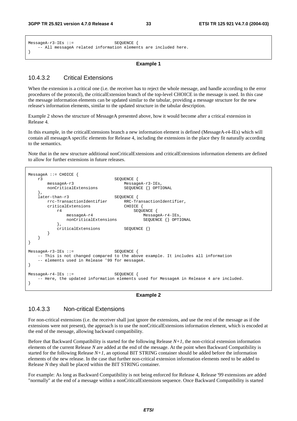```
MessageA-r3-IEs ::= SEQUENCE { 
    - All messageA related information elements are included here.
}
```
#### **Example 1**

#### 10.4.3.2 Critical Extensions

When the extension is a critical one (i.e. the receiver has to reject the whole message, and handle according to the error procedures of the protocol), the criticalExtension branch of the top-level CHOICE in the message is used. In this case the message information elements can be updated similar to the tabular, providing a message structure for the new release's information elements, similar to the updated structure in the tabular description.

Example 2 shows the structure of MessageA presented above, how it would become after a critical extension in Release 4.

In this example, in the criticalExtensions branch a new information element is defined (MessageA-r4-IEs) which will contain all messageA specific elements for Release 4, including the extensions in the place they fit naturally according to the semantics.

Note that in the new structure additional nonCriticalExtensions and criticalExtensions information elements are defined to allow for further extensions in future releases.

```
MessageA ::= CHOICE { 
    r3 SEQUENCE { 
                                   MessageA-r3-IEs,<br>SEQUENCE \{\} OPTIONAL
       nonCriticalExtensions
    }, 
    later-than-r3 SEQUENCE { 
        rrc-TransactionIdentifier RRC-TransactionIdentifier, 
       criticalExtensions CHOICE {<br>r4 SEOU
                                      SEQUENCE {
               messageA-r4 MessageA-r4-IEs, 
              nonCriticalExtensions SEQUENCE {} OPTIONAL
 }, 
       criticalExtensions SEQUENCE {}
 } 
    } 
} 
MessageA-r3-IEs ::= SEQUENCE { 
    -- This is not changed compared to the above example. It includes all information 
    -- elements used in Release '99 for messageA. 
} 
MessageA-r4-IEs ::= SEQUENCE { 
     -- Here, the updated information elements used for MessageA in Release 4 are included. 
}
```
#### **Example 2**

#### 10.4.3.3 Non-critical Extensions

For non-critical extensions (i.e. the receiver shall just ignore the extensions, and use the rest of the message as if the extensions were not present), the approach is to use the nonCriticalExtensions information element, which is encoded at the end of the message, allowing backward compatibility.

Before that Backward Compatibility is started for the following Release *N+1*, the non-critical extension information elements of the current Release *N* are added at the end of the message. At the point when Backward Compatibility is started for the following Release  $N+1$ , an optional BIT STRING container should be added before the information elements of the new release. In the case that further non-critical extension information elements need to be added to Release *N* they shall be placed within the BIT STRING container.

For example: As long as Backward Compatibility is not being enforced for Release 4, Release '99 extensions are added "normally" at the end of a message within a nonCriticalExtensions sequence. Once Backward Compatibility is started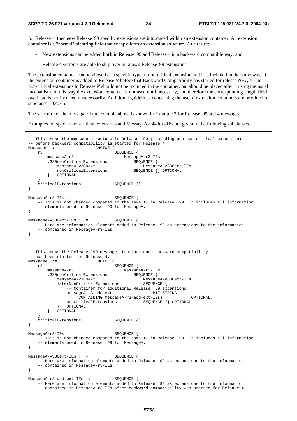for Release 4, then new Release '99 specific extensions are introduced within an extension container. An extension container is a "normal" bit string field that encapsulates an extension structure. As a result:

- New extensions can be added **both** in Release '99 and Release 4 in a backward compatible way; and
- Release 4 systems are able to skip over unknown Release '99 extensions.

The extension container can be viewed as a specific type of non-critical extension and it is included in the same way. If the extension container is added to Release *N* before that Backward Compatibility has started for release *N+1*, further non-critical extensions to Release *N* should not be included in the container, but should be placed after it using the usual mechanism. In this way the extension container is not used until necessary, and therefore the corresponding length field overhead is not incurred unnecessarily. Additional guidelines concerning the use of extension containers are provided in subclause 10.4.3.5.

The structure of the message of the example above is shown in Example 3 for Release '99 and 4 messages.

Examples for special non-critical extensions and MessageA-v440ext-IEs are given in the following subclauses.

```
- This shows the message structure in Release '99 (including one non-critical extension)
-- before backward compatibility is started for Release 4. 
MessageA ::= CHOICE {
    r3 SEQUENCE { 
       messageA-r3<br>v380nonCriticalExtensions MessageA-r3-IEs,<br>SEQUENCE {
       v380nonCriticalExtensions<br>messageA-v380ext
           messageA-v380ext<br>nonCriticalExtensions MessageA-v380ext-IEs,<br>SEOUENCE {} OPTIONAL
                                         SEQUENCE {} OPTIONAL
            } OPTIONAL 
    }, 
   criticalExtensions SEQUENCE {}
} 
MessageA-r3-IEs ::= SEQUENCE { 
     -- This is not changed compared to the same IE in Release '99. It includes all information 
     -- elements used in Release '99 for MessageA. 
} 
MessageA-v380ext-IEs :: = SEQUENCE {
    -- Here are information elements added to Release '99 as extensions to the information 
     -- contained in MessageA-r3-IEs. 
} 
-- This shows the Release '99 message structure once backward compatibility
-- has been started for Release 4. 
MessageA :: = r3 SEQUENCE { 
        messageA-r3 MessageA-r3-IEs, 
v380nonCriticalExtensions  SEQUENCE {
 messageA-v380ext MessageA-v380ext-IEs, 
laterNonCriticalExtensions   SEQUENCE {
               -- Container for additional Release '99 extensions<br>messageA-r3-add-ext BIT STRING
               messageA-r3-add-ext
                   (CONTAINING MessageA-r3-add-ext-IEs) OPTIONAL, 
               nonCriticalExtensions SEQUENCE {} OPTIONAL
               OPTIONAL
        } OPTIONAL 
    }, 
    criticalExtensions SEQUENCE {} 
} 
MessageA-r3-IEs ::= SEQUENCE { 
    -- This is not changed compared to the same IE in Release '99. It includes all information 
    -- elements used in Release '99 for MessageA. 
} 
MessageA-v380ext-IEs :: = SEQUENCE {
    -- Here are information elements added to Release '99 as extensions to the information 
    -- contained in MessageA-r3-IEs. 
} 
MessageA-r3-add-ext-IEs :: = SEQUENCE { 
    -- Here are information elements added to Release '99 as extensions to the information 
     -- contained in MessageA-r3-IEs after backward compatibility was started for Release 4.
```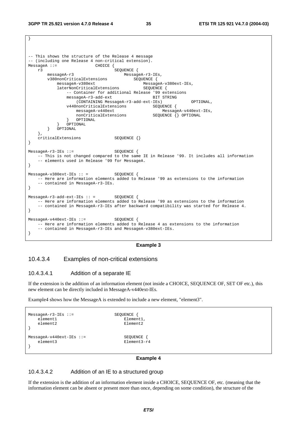}

```
-- This shows the structure of the Release 4 message 
-- (including one Release 4 non-critical extension).<br>MessageA ::= CHOICE {
MessageA :: =r3<br>
messageA-r3<br>
MessageA-r3<br>
Message
                                     MessageA-r3-IEs,
        v380nonCriticalExtensions SEQUENCE { 
messageA-v380ext MessageA-v380ext-IEs,
laterNonCriticalExtensions   SEQUENCE {
               -- Container for additional Release '99 extensions<br>messageA-r3-add-ext PRIT STRING
               messageA-r3-add-ext
                    (CONTAINING MessageA-r3-add-ext-IEs) OPTIONAL, 
                v440nonCriticalExtensions SEQUENCE { 
                   messageA-v440ext MessageA-v440ext-IEs, 
                   nonCriticalExtensions
                } OPTIONAL 
            } OPTIONAL 
        } OPTIONAL 
    }, 
    criticalExtensions SEQUENCE {} 
} 
MessageA-r3-IEs ::= SEQUENCE { 
    -- This is not changed compared to the same IE in Release '99. It includes all information 
     -- elements used in Release '99 for MessageA. 
} 
MessageA-v380ext-IEs :: = SEQUENCE {
    -- Here are information elements added to Release '99 as extensions to the information 
     -- contained in MessageA-r3-IEs. 
} 
MessageA-r3-add-ext-IEs :: = SEQUENCE { 
     -- Here are information elements added to Release '99 as extensions to the information 
     -- contained in MessageA-r3-IEs after backward compatibility was started for Release 4. 
} 
MessageA-v440ext-IEs ::= SEQUENCE { 
     -- Here are information elements added to Release 4 as extensions to the information 
     -- contained in MessageA-r3-IEs and MessageA-v380ext-IEs. 
}
```
#### **Example 3**

#### 10.4.3.4 Examples of non-critical extensions

#### 10.4.3.4.1 Addition of a separate IE

If the extension is the addition of an information element (not inside a CHOICE, SEQUENCE OF, SET OF etc.), this new element can be directly included in MessageA-v440ext-IEs.

Example4 shows how the MessageA is extended to include a new element, "element3".

```
MessageA-T3-IES ::=<br>
Element1element1.
  element2 Element2
} 
MessageA-v440ext-IEs ::= SEQUENCE {
  element3 Element3-r4
}
```
#### **Example 4**

#### 10.4.3.4.2 Addition of an IE to a structured group

If the extension is the addition of an information element inside a CHOICE, SEQUENCE OF, etc. (meaning that the information element can be absent or present more than once, depending on some condition), the structure of the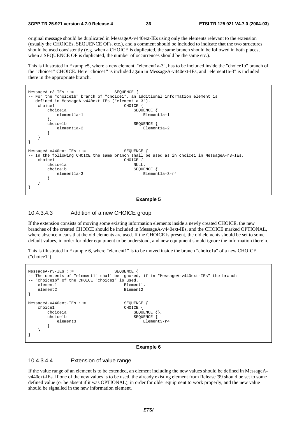original message should be duplicated in MessageA-v440ext-IEs using only the elements relevant to the extension (usually the CHOICEs, SEQUENCE OFs, etc.), and a comment should be included to indicate that the two structures should be used consistently (e.g. when a CHOICE is duplicated, the same branch should be followed in both places, when a SEQUENCE OF is duplicated, the number of occurrences should be the same etc.).

This is illustrated in Example5, where a new element, "element1a-3", has to be included inside the "choice1b" branch of the "choice1" CHOICE. Here "choice1" is included again in MessageA-v440ext-IEs, and "element1a-3" is included there in the appropriate branch.



**Example 5** 

#### 10.4.3.4.3 Addition of a new CHOICE group

If the extension consists of moving some existing information elements inside a newly created CHOICE, the new branches of the created CHOICE should be included in MessageA-v440ext-IEs, and the CHOICE marked OPTIONAL, where absence means that the old elements are used. If the CHOICE is present, the old elements should be set to some default values, in order for older equipment to be understood, and new equipment should ignore the information therein.

This is illustrated in Example 6, where "element1" is to be moved inside the branch "choice1a" of a new CHOICE ("choice1").

| $MessageA-r3-IEs :: =$                                                    | SEOUENCE                                                                                |
|---------------------------------------------------------------------------|-----------------------------------------------------------------------------------------|
| -- "choicelb" of the CHOICE "choicel" is used.                            | -- The contents of "element1" shall be ignored, if in "MessageA-v440ext-IEs" the branch |
| element1                                                                  | Element1,                                                                               |
| element2                                                                  | Element2                                                                                |
| $MessageA-v440ext-IEs ::=$<br>choicel<br>choicela<br>choicelb<br>element3 | SEOUENCE<br>CHOICE<br>SEOUENCE<br>$\{\ \}$ ,<br>SEOUENCE<br>Element3-r4                 |

#### **Example 6**

#### 10.4.3.4.4 Extension of value range

If the value range of an element is to be extended, an element including the new values should be defined in MessageAv440ext-IEs. If one of the new values is to be used, the already existing element from Release '99 should be set to some defined value (or be absent if it was OPTIONAL), in order for older equipment to work properly, and the new value should be signalled in the new information element.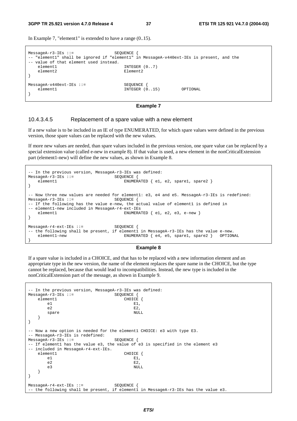In Example 7, "element1" is extended to have a range (0..15).

```
MessageA-r3-IEs ::= SEQUENCE { 
-- "element1" shall be ignored if "element1" in MessageA-v440ext-IEs is present, and the 
-- value of that element used instead.
   element1 INTEGER (0..7)<br>element2 Flement2
                                   Element2
} 
MessageA-v440ext-IEs ::= SEQUENCE { 
                                    INTEGER (0..15) OPTIONAL
}
```
**Example 7** 

#### 10.4.3.4.5 Replacement of a spare value with a new element

If a new value is to be included in an IE of type ENUMERATED, for which spare values were defined in the previous version, those spare values can be replaced with the new values.

If more new values are needed, than spare values included in the previous version, one spare value can be replaced by a special extension value (called e-new in example 8). If that value is used, a new element in the nonCriticalExtension part (element1-new) will define the new values, as shown in Example 8.

```
- In the previous version, MessageA-r3-IEs was defined:<br>lessageA-r3-IEs ::= $ROUENCE {
MessageA-r3-IEs :: =element1 ENUMERATED { e1, e2, spare1, spare2 }
} 
-- Now three new values are needed for element1: e3, e4 and e5. MessageA-r3-IEs is redefined:
MessageA-r3-IEs ::= SEQUENCE { 
-- If the following has the value e-new, the actual value of element1 is defined in
-- element1-new included in MessageA-r4-ext-IEs 
   element1 ENUMERATED { e1, e2, e3, e-new }
} 
MessageA-r4-ext-IEs ::= SEQUENCE { 
-- the following shall be present, if element1 in MessageA-r3-IEs has the value e-new.
    element1-new ENUMERATED { e4, e5, spare1, spare2 } OPTIONAL 
}
```
#### **Example 8**

If a spare value is included in a CHOICE, and that has to be replaced with a new information element and an appropriate type in the new version, the name of the element replaces the spare name in the CHOICE, but the type cannot be replaced, because that would lead to incompatibilities. Instead, the new type is included in the nonCriticalExtension part of the message, as shown in Example 9.

```
-- In the previous version, MessageA-r3-IEs was defined: 
MessageA-r3-IEs ::= SEQUENCE {<br>element1 CHOICE
       element<br>
element<br>
element<br>
element<br>
element<br>
element<br>
element<br>
element<br>
element<br>
element<br>
element<br>
element<br>
element<br>
element<br>
element<br>
element<br>
element<br>
element<br>
element<br>
element<br>
element<br>
element<br>
element<br>
element<br>
elemen
e1 E1,
e^2 E2,
 spare NULL 
     } 
} 
 -- Now a new option is needed for the element1 CHOICE: e3 with type E3. 
 - MessageA-r3-IEs is redefined:
MessageA-r3-IEs ::= SEQUENCE { 
-- If element1 has the value e3, the value of e3 is specified in the element e3 
-- included in MessageA-r4-ext-IEs. 
    element1 CHOICE {
e1 E1,
e^2 E2,
 e3 NULL 
     } 
} 
MessageA-r4-ext-IEs ::= SEQUENCE { 
  the following shall be present, if element1 in MessageA-r3-IEs has the value e3.
```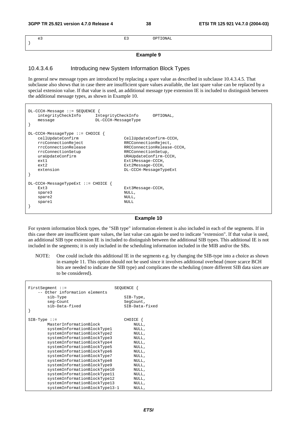| e3 | $\overline{\phantom{0}}$<br>п.<br>-- | $T$ $\cap$ $T$ $T$ |
|----|--------------------------------------|--------------------|
|    |                                      |                    |
|    |                                      |                    |

#### **Example 9**

#### 10.4.3.4.6 Introducing new System Information Block Types

In general new message types are introduced by replacing a spare value as described in subclause 10.4.3.4.5. That subclause also shows that in case there are insufficient spare values available, the last spare value can be replaced by a special extension value. If that value is used, an additional message type extension IE is included to distinguish between the additional message types, as shown in Example 10.

| $DL-CCCH-Message :: = SEQUENCE$<br>integrityCheckInfo<br>IntegrityCheckInfo<br>DL-CCCH-MessageType<br>message                                                               | OPTIONAL,                                                                                                                                                                                          |
|-----------------------------------------------------------------------------------------------------------------------------------------------------------------------------|----------------------------------------------------------------------------------------------------------------------------------------------------------------------------------------------------|
| $DL-CCCH-MessaqeType ::=CHOICE$<br>cellUpdateConfirm<br>rrcConnectionReject<br>rrcConnectionRelease<br>rrcConnectionSetup<br>uraUpdateConfirm<br>ext.1<br>ext2<br>extension | CellUpdateConfirm-CCCH,<br>RRCConnectionReject,<br>RRCConnectionRelease-CCCH,<br>RRCConnectionSetup,<br>URAUpdateConfirm-CCCH,<br>Ext1Message-CCCH,<br>Ext2Message-CCCH,<br>DL-CCCH-MessageTypeExt |
| $DL-CCCH-MessaqeTypeExt ::=CHOICE$<br>Ext3<br>spare3<br>spare2<br>sparel                                                                                                    | Ext3Message-CCCH,<br>NULL,<br>NULL,<br>NULL.                                                                                                                                                       |

#### **Example 10**

For system information block types, the "SIB type" information element is also included in each of the segments. If in this case there are insufficient spare values, the last value can again be used to indicate "extension". If that value is used, an additional SIB type extension IE is included to distinguish between the additional SIB types. This additional IE is not included in the segments; it is only included in the scheduling information included in the MIB and/or the SBs.

NOTE: One could include this additional IE in the segments e.g. by changing the SIB-type into a choice as shown in example 11. This option should not be used since it involves additional overhead (more scarce BCH bits are needed to indicate the SIB type) and complicates the scheduling (more different SIB data sizes are to be considered).

| $FirstSegment :: =$<br>-- Other information elements | SEOUENCE               |
|------------------------------------------------------|------------------------|
| sib-Type<br>seg-Count                                | SIB-Type,<br>SeqCount, |
| sib-Data-fixed                                       | SIB-Data-fixed         |
| $SIB-Type :: =$                                      | CHOICE                 |
| MasterInformationBlock                               | NULL,                  |
| systemInformationBlockType1                          | NULL,                  |
| systemInformationBlockType2                          | NULL,                  |
| systemInformationBlockType3                          | NULL,                  |
| systemInformationBlockType4                          | NULL,                  |
| systemInformationBlockType5                          | NULL,                  |
| systemInformationBlockType6                          | NULL,                  |
| systemInformationBlockType7                          | NULL,                  |
| systemInformationBlockType8                          | NULL,                  |
| systemInformationBlockType9                          | NULL,                  |
| systemInformationBlockType10                         | NULL,                  |
| systemInformationBlockType11                         | NULL,                  |
| systemInformationBlockType12                         | NULL,                  |
| systemInformationBlockType13                         | NULL,                  |
| systemInformationBlockType13-1                       | NULL,                  |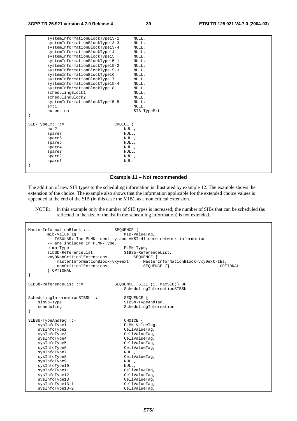|                   | systemInformationBlockType13-2 |             | NULL,       |
|-------------------|--------------------------------|-------------|-------------|
|                   | systemInformationBlockType13-3 |             | NULL,       |
|                   | systemInformationBlockType13-4 |             | NULL,       |
|                   | systemInformationBlockType14   |             | NULL,       |
|                   | systemInformationBlockType15   |             | NULL,       |
|                   | systemInformationBlockType15-1 |             | NULL,       |
|                   | systemInformationBlockType15-2 |             | NULL,       |
|                   | systemInformationBlockType15-3 |             | NULL,       |
|                   | systemInformationBlockType16   |             | NULL,       |
|                   | systemInformationBlockType17   |             | NULL,       |
|                   | systemInformationBlockType15-4 |             | NULL,       |
|                   | systemInformationBlockType18   |             | NULL,       |
|                   | schedulingBlock1               |             | NULL,       |
|                   | schedulingBlock2               |             | NULL,       |
|                   | systemInformationBlockType15-5 |             | NULL,       |
|                   | ext1                           |             | NULL,       |
|                   | extension                      |             | SIB-TypeExt |
|                   |                                |             |             |
|                   |                                |             |             |
| $SIB-TypeExt ::=$ |                                | CHOICE {    |             |
|                   | ext2                           | NULL,       |             |
|                   | spare7                         | NULL,       |             |
|                   | spare6                         | NULL,       |             |
|                   | spare5                         | NULL,       |             |
|                   | spare4                         | NULL,       |             |
|                   | spare3                         | NULL,       |             |
|                   | spare2                         | NULL,       |             |
|                   | spare1                         | <b>NULL</b> |             |
|                   |                                |             |             |

#### **Example 11 – Not recommended**

The addition of new SIB types to the scheduling information is illustrated by example 12. The example shows the extension of the choice. The example also shows that the information applicable for the extended choice values is appended at the end of the SIB (in this case the MIB), as a non critical extension.

NOTE: In this example only the number of SIB types is increased; the number of SIBs that can be scheduled (as reflected in the size of the list in the scheduling information) is not extended.

```
MasterInformationBlock ::= SEQUENCE {
      mib-ValueTag MIB-ValueTag,
       -- TABULAR: The PLMN identity and ANSI-41 core network information 
       -- are included in PLMN-Type. 
plmn-Type PLMN-Type,
sibSb-ReferenceList SIBSb-ReferenceList,
vxy0NonCriticalExtensions   SEQUENCE {
 masterInformationBlock-vxy0ext MasterInformationBlock-vxy0ext-IEs, 
         masterInformationBlock-vxy0ext MasterInformationBlock-vxy0ext-IEs,<br>nonCriticalExtensions SEQUENCE {} OPTIONAL
       } OPTIONAL 
} 
SIBSb-ReferenceList ::= SEQUENCE (SIZE (1..maxSIB)) OF
                                 SchedulingInformationSIBSb 
SchedulingInformationSIBSb ::= SEQUENCE {
   sibSb-Type SIBSb-TypeAndTag,
   scheduling SchedulingInformation
} 
SIBSb-TypeAndTag ::= CHOICE { 
   sysInfoType1 PLMN-ValueTag,
   sysInfoType2 CellValueTag,
   sysInfoType3 CellValueTag,
   sysInfoType4 CellValueTag,
   sysInfoType5 <br>sysInfoType6 CellValueTag,
                                CellValueTag,<br>NULL,
   sysInfoType7 NULL,<br>sysInfoType8 CellValueTaq,
   sysInfoType8
   sysInfoType9 NULL,
   sysInfoType10 NULL,<br>sysInfoType11 CellValueTag,
   sysInfoType11 CellValueTag,<br>sysInfoType12 CellValueTag,
   sysInfoType12 CellValueTag,<br>sysInfoType13 CellValueTag,
   sysInfoType13
    sysInfoType13-1 CellValueTag, 
    sysInfoType13-2 CellValueTag,
```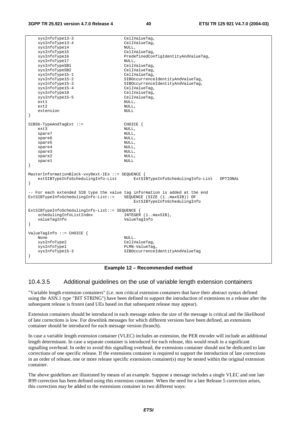```
sysInfoType13-3 CellValueTag,
    sysInfoType13-4 CellValueTag, 
   sysInfoType14 NULL,<br>sysInfoType15 CellValueTag,
   sysInfoType15<br>sysInfoType16
                                    PredefinedConfigIdentityAndValueTag,
   sysInfoType17 NULL,
   sysInfoTypeSB1 CellValueTag,
   sysInfoTypeSB2 <br>sysInfoType15-1 <br>CellValueTag,
   sysInfoType15-1
   sysInfoType15-2 SIBOccurrenceIdentityAndValueTag,<br>SIBOccurrenceIdentityAndValueTag,
                                    SIBOccurrenceIdentityAndValueTag,
    sysInfoType15-4 CellValueTag, 
   sysInfoType18 CellValueTag,<br>sysInfoType15-5 CellValueTag,
   sysInfoType15-5
   ext1 NULL, NULL, NULL, NULL, NULL, NULL, NULL, NULL, NULL, NULL, NULL, NULL, NULL, NULL, NULL, NULL, NULL, NULL, NULL, NULL, NULL, NULL, NULL, NULL, NULL, NULL, NULL, NULL, NULL, NULL, NULL, NULL, NULL, NULL, NULL, NULL, N
ext2 NULL,
   extension NULL
} 
SIBSb-TypeAndTagExt ::= CHOICE { 
ext3 NULL,
   spare7 NULL,
   spare6 NULL,
   spare5 NULL,
   spare4 NULL,<br>spare3 NULL,
   spare3
   spare2 NULL,
   spare1 NULL
} 
MasterInformationBlock-vxy0ext-IEs ::= SEQUENCE { 
    extSIBTypeInfoSchedulingInfo-List ExtSIBTypeInfoSchedulingInfo-List OPTIONAL 
} 
 -- For each extended SIB type the value tag information is added at the end 
ExtSIBTypeInfoSchedulingInfo-List::= SEQUENCE (SIZE (1..maxSIB)) OF 
                                         ExtSIBTypeInfoSchedulingInfo 
ExtSIBTypeInfoSchedulingInfo-List::= SEQUENCE {<br>schedulingInfoListIndex INTEGER (1..maxSIB),
   schedulingInfoListIndex
    valueTagInfo ValueTagInfo 
} 
ValueTagInfo ::= CHOICE { 
None NULL.
   sysInfoType2 CellValueTag,
   sysInfoType1 PLMN-ValueTag,<br>sysInfoType15-3 SIBOccurrence1
                                    SIBOccurrenceIdentityAndValueTag
}
```
**Example 12 – Recommended method** 

#### 10.4.3.5 Additional guidelines on the use of variable length extension containers

"Variable length extension containers" (i.e. non critical extension containers that have their abstract syntax defined using the ASN.1 type "BIT STRING") have been defined to support the introduction of extensions to a release after the subsequent release is frozen (and UEs based on that subsequent release may appear).

Extension containers should be introduced in each message unless the size of the message is critical and the likelihood of late corrections is low. For downlink messages for which different versions have been defined, an extensions container should be introduced for each message version (branch).

In case a variable length extension container (VLEC) includes an extension, the PER encoder will include an additional length determinant. In case a separate container is introduced for each release, this would result in a significant signalling overhead. In order to avoid this signalling overhead, the extensions container should not be dedicated to late corrections of one specific release. If the extensions container is required to support the introduction of late corrections in an order of release, one or more release specific extensions container(s) may be nested within the original extension container.

The above guidelines are illustrated by means of an example. Suppose a message includes a single VLEC and one late R99 correction has been defined using this extension container. When the need for a late Release 5 correction arises, this correction may be added to the extensions container in two different ways: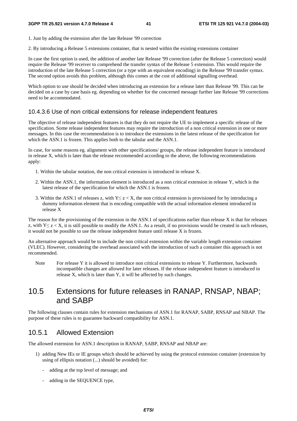1. Just by adding the extension after the late Release '99 correction

2. By introducing a Release 5 extensions container, that is nested within the existing extensions container

In case the first option is used, the addition of another late Release '99 correction (after the Release 5 correction) would require the Release '99 receiver to comprehend the transfer syntax of the Release 5 extension. This would require the introduction of the late Release 5 correction (or a type with an equivalent encoding) in the Release '99 transfer syntax. The second option avoids this problem, although this comes at the cost of additional signalling overhead.

Which option to use should be decided when introducing an extension for a release later than Release '99. This can be decided on a case by case basis eg. depending on whether for the concerned message further late Release '99 corrections need to be accommodated.

#### 10.4.3.6 Use of non critical extensions for release independent features

The objective of release independent features is that they do not require the UE to implement a specific release of the specification. Some release independent features may require the introduction of a non critical extension in one or more messages. In this case the recommendation is to introduce the extensions in the latest release of the specification for which the ASN.1 is frozen. This applies both to the tabular and the ASN.1.

In case, for some reasons eg. alignment with other specifications/ groups, the release independent feature is introduced in release X, which is later than the release recommended according to the above, the following recommendations apply:

- 1. Within the tabular notation, the non critical extension is introduced in release X.
- 2. Within the ASN.1, the information element is introduced as a non critical extension in release Y, which is the latest release of the specification for which the ASN.1 is frozen.
- 3. Within the ASN.1 of releases z, with  $Y \le z \lt X$ , the non critical extension is provisioned for by introducing a dummy information element that is encoding compatible with the actual information element introduced in release X

The reason for the provisioning of the extension in the ASN.1 of specifications earlier than release X is that for releases z, with  $Y \le z \le X$ , it is still possible to modify the ASN.1. As a result, if no provisions would be created in such releases, it would not be possible to use the release independent feature until release X is frozen.

An alternative approach would be to include the non critical extension within the variable length extension container (VLEC). However, considering the overhead associated with the introduction of such a container this approach is not recommended.

Note For release Y it is allowed to introduce non critical extensions to release Y. Furthermore, backwards incompatible changes are allowed for later releases. If the release independent feature is introduced in release X, which is later than Y, it will be affected by such changes.

# 10.5 Extensions for future releases in RANAP, RNSAP, NBAP; and SABP

The following clauses contain rules for extension mechanisms of ASN.1 for RANAP, SABP, RNSAP and NBAP. The purpose of these rules is to guarantee backward compatibility for ASN.1.

### 10.5.1 Allowed Extension

The allowed extension for ASN.1 description in RANAP, SABP, RNSAP and NBAP are:

- 1) adding New IEs or IE groups which should be achieved by using the protocol extension container (extension by using of ellipsis notation (...) should be avoided) for:
	- adding at the top level of message; and
	- adding in the SEQUENCE type,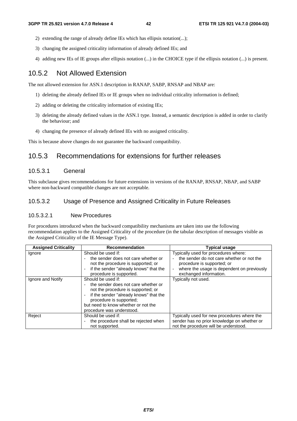- 2) extending the range of already define IEs which has ellipsis notation(...);
- 3) changing the assigned criticality information of already defined IEs; and
- 4) adding new IEs of IE groups after ellipsis notation (...) in the CHOICE type if the ellipsis notation (...) is present.

### 10.5.2 Not Allowed Extension

The not allowed extension for ASN.1 description in RANAP, SABP, RNSAP and NBAP are:

- 1) deleting the already defined IEs or IE groups when no individual criticality information is defined;
- 2) adding or deleting the criticality information of existing IEs;
- 3) deleting the already defined values in the ASN.1 type. Instead, a semantic description is added in order to clarify the behaviour; and
- 4) changing the presence of already defined IEs with no assigned criticality.

This is because above changes do not guarantee the backward compatibility.

### 10.5.3 Recommendations for extensions for further releases

#### 10.5.3.1 General

This subclause gives recommendations for future extensions in versions of the RANAP, RNSAP, NBAP, and SABP where non-backward compatible changes are not acceptable.

#### 10.5.3.2 Usage of Presence and Assigned Criticality in Future Releases

#### 10.5.3.2.1 New Procedures

For procedures introduced when the backward compatibility mechanisms are taken into use the following recommendation applies to the Assigned Criticality of the procedure (in the tabular description of messages visible as the Assigned Criticality of the IE Message Type).

| <b>Assigned Criticality</b> | <b>Recommendation</b>                                                                                                                                                                                                                    | <b>Typical usage</b>                                                                                                                                                                    |
|-----------------------------|------------------------------------------------------------------------------------------------------------------------------------------------------------------------------------------------------------------------------------------|-----------------------------------------------------------------------------------------------------------------------------------------------------------------------------------------|
| lgnore                      | Should be used if:<br>the sender does not care whether or<br>not the procedure is supported; or<br>if the sender "already knows" that the<br>procedure is supported.                                                                     | Typically used for procedures where:<br>the sender do not care whether or not the<br>procedure is supported; or<br>where the usage is dependent on previously<br>exchanged information. |
| Ignore and Notify           | Should be used if:<br>the sender does not care whether or<br>not the procedure is supported; or<br>if the sender "already knows" that the<br>procedure is supported;<br>but need to know whether or not the<br>procedure was understood. | Typically not used.                                                                                                                                                                     |
| Reject                      | Should be used if:<br>the procedure shall be rejected when<br>not supported.                                                                                                                                                             | Typically used for new procedures where the<br>sender has no prior knowledge on whether or<br>not the procedure will be understood.                                                     |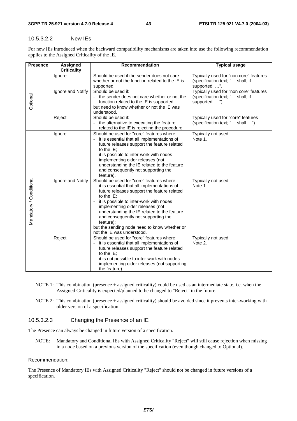#### 10.5.3.2.2 New IEs

For new IEs introduced when the backward compatibility mechanisms are taken into use the following recommendation applies to the Assigned Criticality of the IE.

| <b>Presence</b>         | Assigned           | <b>Recommendation</b>                                                                          | <b>Typical usage</b>                              |
|-------------------------|--------------------|------------------------------------------------------------------------------------------------|---------------------------------------------------|
|                         | <b>Criticality</b> |                                                                                                |                                                   |
|                         | Ignore             | Should be used if the sender does not care<br>whether or not the function related to the IE is | Typically used for "non core" features            |
|                         |                    | supported.                                                                                     | (specification text; " shall, if<br>supported, ". |
|                         | Ignore and Notify  | Should be used if:                                                                             | Typically used for "non core" features            |
|                         |                    | - the sender does not care whether or not the                                                  | (specification text; " shall, if                  |
| Optional                |                    | function related to the IE is supported.                                                       | supported, ").                                    |
|                         |                    | but need to know whether or not the IE was                                                     |                                                   |
|                         |                    | understood.                                                                                    |                                                   |
|                         | Reject             | Should be used if:                                                                             | Typically used for "core" features                |
|                         |                    | - the alternative to executing the feature                                                     | (specification text; " shall ").                  |
|                         |                    | related to the IE is rejecting the procedure.                                                  |                                                   |
|                         | Ignore             | Should be used for "core" features where:<br>it is essential that all implementations of       | Typically not used.<br>Note 1.                    |
|                         |                    | future releases support the feature related                                                    |                                                   |
|                         |                    | to the $IE$ :                                                                                  |                                                   |
|                         |                    | it is possible to inter-work with nodes                                                        |                                                   |
|                         |                    | implementing older releases (not                                                               |                                                   |
|                         |                    | understanding the IE related to the feature                                                    |                                                   |
|                         |                    | and consequently not supporting the                                                            |                                                   |
|                         |                    | feature).                                                                                      |                                                   |
| Mandatory / Conditional | Ignore and Notify  | Should be used for "core" features where:<br>- it is essential that all implementations of     | Typically not used.<br>Note 1.                    |
|                         |                    | future releases support the feature related                                                    |                                                   |
|                         |                    | to the $IE$ ;                                                                                  |                                                   |
|                         |                    | it is possible to inter-work with nodes                                                        |                                                   |
|                         |                    | implementing older releases (not                                                               |                                                   |
|                         |                    | understanding the IE related to the feature                                                    |                                                   |
|                         |                    | and consequently not supporting the                                                            |                                                   |
|                         |                    | feature);                                                                                      |                                                   |
|                         |                    | but the sending node need to know whether or<br>not the IE was understood.                     |                                                   |
|                         | Reject             | Should be used for "core" features where:                                                      | Typically not used.                               |
|                         |                    | it is essential that all implementations of                                                    | Note 2.                                           |
|                         |                    | future releases support the feature related                                                    |                                                   |
|                         |                    | to the IE:                                                                                     |                                                   |
|                         |                    | it is not possible to inter-work with nodes                                                    |                                                   |
|                         |                    | implementing older releases (not supporting                                                    |                                                   |
|                         |                    | the feature).                                                                                  |                                                   |

- NOTE 1: This combination (presence + assigned criticality) could be used as an intermediate state, i.e. when the Assigned Criticality is expected/planned to be changed to "Reject" in the future.
- NOTE 2: This combination (presence + assigned criticality) should be avoided since it prevents inter-working with older version of a specification.

#### 10.5.3.2.3 Changing the Presence of an IE

The Presence can always be changed in future version of a specification.

NOTE: Mandatory and Conditional IEs with Assigned Criticality "Reject" will still cause rejection when missing in a node based on a previous version of the specification (even though changed to Optional).

#### Recommendation:

The Presence of Mandatory IEs with Assigned Criticality "Reject" should not be changed in future versions of a specification.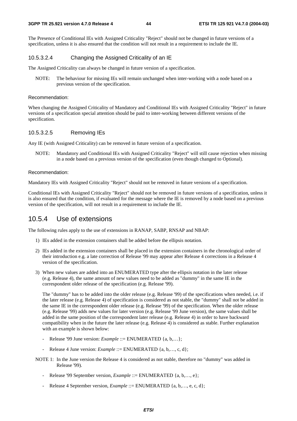The Presence of Conditional IEs with Assigned Criticality "Reject" should not be changed in future versions of a specification, unless it is also ensured that the condition will not result in a requirement to include the IE.

#### 10.5.3.2.4 Changing the Assigned Criticality of an IE

The Assigned Criticality can always be changed in future version of a specification.

NOTE: The behaviour for missing IEs will remain unchanged when inter-working with a node based on a previous version of the specification.

#### Recommendation:

When changing the Assigned Criticality of Mandatory and Conditional IEs with Assigned Criticality "Reject" in future versions of a specification special attention should be paid to inter-working between different versions of the specification.

#### 10.5.3.2.5 Removing IEs

Any IE (with Assigned Criticality) can be removed in future version of a specification.

NOTE: Mandatory and Conditional IEs with Assigned Criticality "Reject" will still cause rejection when missing in a node based on a previous version of the specification (even though changed to Optional).

#### Recommendation:

Mandatory IEs with Assigned Criticality "Reject" should not be removed in future versions of a specification.

Conditional IEs with Assigned Criticality "Reject" should not be removed in future versions of a specification, unless it is also ensured that the condition, if evaluated for the message where the IE is removed by a node based on a previous version of the specification, will not result in a requirement to include the IE.

### 10.5.4 Use of extensions

The following rules apply to the use of extensions in RANAP, SABP, RNSAP and NBAP:

- 1) IEs added in the extension containers shall be added before the ellipsis notation.
- 2) IEs added in the extension containers shall be placed in the extension containers in the chronological order of their introduction e.g. a late correction of Release '99 may appear after Release 4 corrections in a Release 4 version of the specification.
- 3) When new values are added into an ENUMERATED type after the ellipsis notation in the later release (e.g. Release 4), the same amount of new values need to be added as "dummy" in the same IE in the correspondent older release of the specification (e.g. Release '99).

 The "dummy" has to be added into the older release (e.g. Release '99) of the specifications when needed, i.e. if the later release (e.g. Release 4) of specification is considered as not stable, the "dummy" shall not be added in the same IE in the correspondent older release (e.g. Release '99) of the specification. When the older release (e.g. Release '99) adds new values for later version (e.g. Release '99 June version), the same values shall be added in the same position of the correspondent later release (e.g. Release 4) in order to have backward compatibility when in the future the later release (e.g. Release 4) is considered as stable. Further explanation with an example is shown below:

- Release '99 June version: *Example* ::= ENUMERATED {a, b,...};
- Release 4 June version: *Example* ::= ENUMERATED {a, b,..., c, d};
- NOTE 1: In the June version the Release 4 is considered as not stable, therefore no "dummy" was added in Release '99).
	- Release '99 September version, *Example* ::= ENUMERATED {a, b,..., e};
	- Release 4 September version, *Example* ::= ENUMERATED {a, b,..., e, c, d};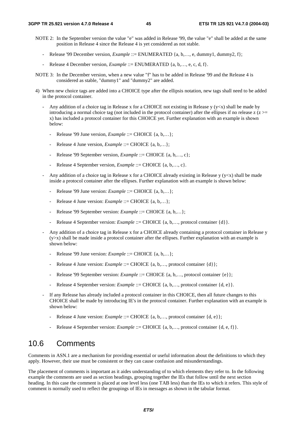- NOTE 2: In the September version the value "e" was added in Release '99, the value "e" shall be added at the same position in Release 4 since the Release 4 is yet considered as not stable.
	- Release '99 December version, *Example* ::= ENUMERATED {a, b,…, e, dummy1, dummy2, f};
	- Release 4 December version, *Example* ::= ENUMERATED {a, b,…, e, c, d, f}.
- NOTE 3: In the December version, when a new value "f" has to be added in Release '99 and the Release 4 is considered as stable, "dummy1" and "dummy2" are added.
- 4) When new choice tags are added into a CHOICE type after the ellipsis notation, new tags shall need to be added in the protocol container.
	- Any addition of a choice tag in Release x for a CHOICE not existing in Release y ( $y \lt x$ ) shall be made by introducing a normal choice tag (not included in the protocol container) after the ellipses if no release  $z$  ( $z$  >= x) has included a protocol container for this CHOICE yet. Further explanation with an example is shown below:
		- Release '99 June version, *Example* ::= CHOICE {a, b,...};
		- Release 4 June version, *Example* ::= CHOICE {a, b,...};
		- Release '99 September version, *Example* ::= CHOICE {a, b,…, c};
		- Release 4 September version, *Example* ::= CHOICE {a, b,..., c}.
	- Any addition of a choice tag in Release x for a CHOICE already existing in Release y ( $y \lt x$ ) shall be made inside a protocol container after the ellipses. Further explanation with an example is shown below:
		- Release '99 June version: *Example* ::= CHOICE {a, b,…};
		- Release 4 June version: *Example* ::= CHOICE {a, b,...};
		- Release '99 September version: *Example* ::= CHOICE {a, b,...};
		- Release 4 September version: *Example* ::= CHOICE {a, b,..., protocol container {d}}.
	- Any addition of a choice tag in Release x for a CHOICE already containing a protocol container in Release y  $(y>x)$  shall be made inside a protocol container after the ellipses. Further explanation with an example is shown below:
		- Release '99 June version: *Example* ::= CHOICE {a, b,…};
		- Release 4 June version: *Example* ::= CHOICE {a, b,..., protocol container {d}};
		- Release '99 September version: *Example* ::= CHOICE {a, b,..., protocol container {e}};
		- Release 4 September version: *Example* ::= CHOICE {a, b,..., protocol container {d, e}.
	- If any Release has already included a protocol container in this CHOICE, then all future changes to this CHOICE shall be made by introducing IE's in the protocol container. Further explanation with an example is shown below:
		- Release 4 June version: *Example* ::= CHOICE {a, b,…, protocol container {d, e}};
		- Release 4 September version: *Example* ::= CHOICE {a, b,…, protocol container {d, e, f}}.

### 10.6 Comments

Comments in ASN.1 are a mechanism for providing essential or useful information about the definitions to which they apply. However, their use must be consistent or they can cause confusion and misunderstandings.

The placement of comments is important as it aides understanding of to which elements they refer to. In the following example the comments are used as section headings, grouping together the IEs that follow until the next section heading. In this case the comment is placed at one level less (one TAB less) than the IEs to which it refers. This style of comment is normally used to reflect the groupings of IEs in messages as shown in the tabular format.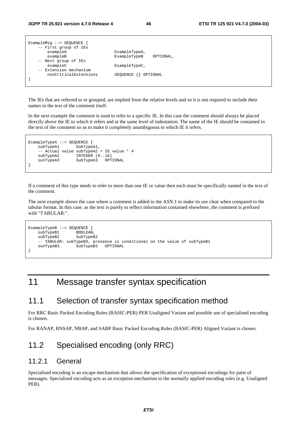| ExampleMsq $::=$ SEQUENCE {<br>-- First group of IEs |                           |
|------------------------------------------------------|---------------------------|
| exampleA                                             | ExampleTypeA,             |
| exampleB                                             | ExampleTypeB<br>OPTIONAL, |
| -- Next group of IEs                                 |                           |
| exampleC                                             | ExampleTypeC,             |
| -- Extension mechanism                               |                           |
| nonCriticalExtensions                                | SEQUENCE {} OPTIONAL      |
|                                                      |                           |
|                                                      |                           |

The IEs that are referred to or grouped, are implied from the relative levels and so it is not required to include their names in the text of the comment itself.

In the next example the comment is used to refer to a specific IE. In this case the comment should always be placed directly above the IE to which it refers and at the same level of indentation. The name of the IE should be contained in the text of the comment so as to make it completely unambiguous to which IE it refers.

```
ExampleTypeA ::= SEQUENCE { 
    subTypeA1 SubTypeA1,
      -- Actual value subTypeA2 = IE value * 4 
    subTypeA2 INTEGER (0..16)<br>sunTypeA3 SubTypeA3 OPTIONAL
                      SubTypeA3
}
```
If a comment of this type needs to refer to more than one IE or value then each must be specifically named in the text of the comment.

The next example shows the case where a comment is added to the ASN.1 to make its use clear when compared to the tabular format. In this case, as the text is purely to reflect information contained elsewhere, the comment is prefixed with "TABULAR:".

```
ExampleTypeB ::= SEQUENCE { 
    subTypeB1 BOOLEAN,<br>subTypeB2 SubTypeB2
    subTypeB2 -- TABULAR: subTypeB3, presence is conditional on the value of subTypeB1 
     sunTypeB3 SubTypeB3 OPTIONAL 
}
```
# 11 Message transfer syntax specification

### 11.1 Selection of transfer syntax specification method

For RRC Basic Packed Encoding Rules (BASIC-PER) PER Unaligned Variant and possible use of specialised encoding is chosen.

For RANAP, RNSAP, NBAP, and SABP Basic Packed Encoding Rules (BASIC-PER) Aligned Variant is chosen.

# 11.2 Specialised encoding (only RRC)

#### 11.2.1 General

Specialised encoding is an escape mechanism that allows the specification of exceptional encodings for parts of messages. Specialised encoding acts as an exception mechanism to the normally applied encoding rules (e.g. Unaligned PER).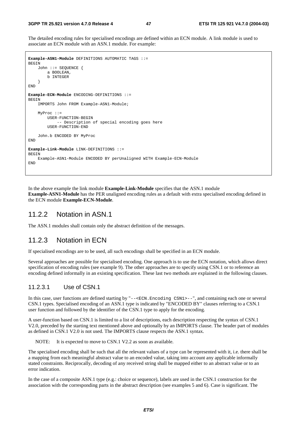The detailed encoding rules for specialised encodings are defined within an ECN module. A link module is used to associate an ECN module with an ASN.1 module. For example:

```
Example-ASN1-Module DEFINITIONS AUTOMATIC TAGS ::= 
BEGIN 
     John ::= SEQUENCE { 
         a BOOLEAN, 
         b INTEGER 
 } 
END 
Example-ECN-Module ENCODING-DEFINITIONS ::= 
BEGIN
     IMPORTS John FROM Example-ASN1-Module; 
     MyProc ::= 
         USER-FUNCTION-BEGIN 
             -- Description of special encoding goes here 
         USER-FUNCTION-END 
     John.b ENCODED BY MyProc 
END 
Example-Link-Module LINK-DEFINITIONS ::= 
BEGIN
     Example-ASN1-Module ENCODED BY perUnaligned WITH Example-ECN-Module 
END
```
In the above example the link module **Example-Link-Module** specifies that the ASN.1 module **Example-ASN1-Module** has the PER unaligned encoding rules as a default with extra specialised encoding defined in the ECN module **Example-ECN-Module**.

#### 11.2.2 Notation in ASN.1

The ASN.1 modules shall contain only the abstract definition of the messages.

### 11.2.3 Notation in ECN

If specialised encodings are to be used, all such encodings shall be specified in an ECN module.

Several approaches are possible for specialised encoding. One approach is to use the ECN notation, which allows direct specification of encoding rules (see example 9). The other approaches are to specify using CSN.1 or to reference an encoding defined informally in an existing specification. These last two methods are explained in the following clauses.

#### 11.2.3.1 Use of CSN.1

In this case, user functions are defined starting by "--<ECN.Encoding CSN1>--", and containing each one or several CSN.1 types. Specialised encoding of an ASN.1 type is indicated by "ENCODED BY" clauses referring to a CSN.1 user function and followed by the identifier of the CSN.1 type to apply for the encoding.

A user-function based on CSN.1 is limited to a list of descriptions, each description respecting the syntax of CSN.1 V2.0, preceded by the starting text mentioned above and optionally by an IMPORTS clause. The header part of modules as defined in CSN.1 V2.0 is not used. The IMPORTS clause respects the ASN.1 syntax.

NOTE: It is expected to move to CSN.1 V2.2 as soon as available.

The specialised encoding shall be such that all the relevant values of a type can be represented with it, i.e. there shall be a mapping from each meaningful abstract value to an encoded value, taking into account any applicable informally stated constraints. Reciprocally, decoding of any received string shall be mapped either to an abstract value or to an error indication.

In the case of a composite ASN.1 type (e.g.: choice or sequence), labels are used in the CSN.1 construction for the association with the corresponding parts in the abstract description (see examples 5 and 6). Case is significant. The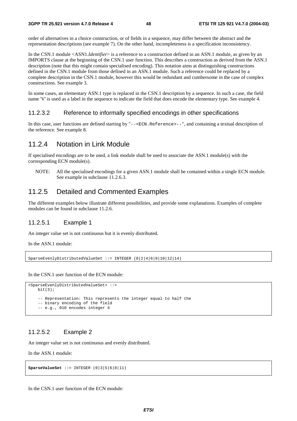order of alternatives in a choice construction, or of fields in a sequence, may differ between the abstract and the representation descriptions (see example 7). On the other hand, incompleteness is a specification inconsistency.

In the CSN.1 module <ASN1.*Identifier*> is a reference to a construction defined in an ASN.1 module, as given by an IMPORTS clause at the beginning of the CSN.1 user function. This describes a construction as derived from the ASN.1 description (note that this might contain specialised encoding). This notation aims at distinguishing constructions defined in the CSN.1 module from those defined in an ASN.1 module. Such a reference could be replaced by a complete description in the CSN.1 module, however this would be redundant and cumbersome in the case of complex constructions. See example 3.

In some cases, an elementary ASN.1 type is replaced in the CSN.1 description by a sequence. In such a case, the field name 'V' is used as a label in the sequence to indicate the field that does encode the elementary type. See example 4.

#### 11.2.3.2 Reference to informally specified encodings in other specifications

In this case, user functions are defined starting by "--<ECN.Reference>--", and containing a textual description of the reference. See example 8.

#### 11.2.4 Notation in Link Module

If specialised encodings are to be used, a link module shall be used to associate the ASN.1 module(s) with the corresponding ECN module(s).

NOTE: All the specialised encodings for a given ASN.1 module shall be contained within a single ECN module. See example in subclause 11.2.6.3.

#### 11.2.5 Detailed and Commented Examples

The different examples below illustrate different possibilities, and provide some explanations. Examples of complete modules can be found in subclause 11.2.6.

#### 11.2.5.1 Example 1

An integer value set is not continuous but it is evenly distributed.

In the ASN 1 module:

SparseEvenlyDistributedValueSet ::= INTEGER (0|2|4|6|8|10|12|14)

In the CSN.1 user function of the ECN module:

```
<SparseEvenlyDistributedValueSet> ::= 
   \frac{h^2 + (3)}{2} -- Representation: This represents the integer equal to half the 
     -- binary encoding of the field 
     -- e.g., 010 encodes integer 4
```
#### 11.2.5.2 Example 2

An integer value set is not continuous and evenly distributed.

In the ASN.1 module:

**SparseValueSet** ::= INTEGER (0|3|5|6|8|11)

In the CSN.1 user function of the ECN module: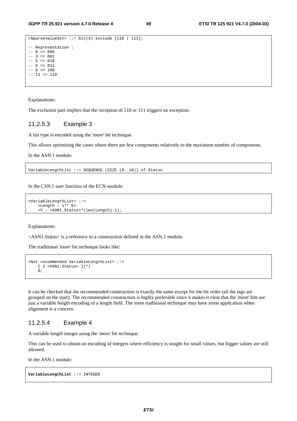```
<SparseValueSet> ::= bit(3) exclude {110 | 111}; 
-- Representation : 
-- 0 => 000-- 3 => 001-- 5 = > 010-- 6 => 011-- 8 = > 100-- 11 \Rightarrow 110
```
Explanations:

The exclusion part implies that the reception of 110 or 111 triggers an exception.

#### 11.2.5.3 Example 3

A list type is encoded using the 'more' bit technique.

This allows optimising the cases where there are few components relatively to the maximum number of components.

In the ASN.1 module:

VariableLengthList ::= SEQUENCE (SIZE (0..10)) of Status

In the CSN.1 user function of the ECN module:

```
<VariableLengthList> ::= 
     <Length : 1** 0> 
     <V : <ASN1.Status>*(len(Length)-1);
```
Explanations:

<ASN1.Status> is a reference to a construction defined in the ASN.1 module.

The traditional 'more' bit technique looks like:

```
<Not recommended VariableLengthList> ::= 
    \{ 1 \leqASN1.Status> \}(*)
    \dot{0};
```
It can be checked that the recommended construction is exactly the same except for the bit order (all the tags are grouped on the start). The recommended construction is highly preferable since it makes it clear that the 'more' bits are just a variable length encoding of a length field. The more traditional technique may have some application when alignment is a concern.

#### 11.2.5.4 Example 4

A variable length integer using the 'more' bit technique.

This can be used to obtain an encoding of integers where efficiency is sought for small values, but bigger values are still allowed.

In the ASN 1 module:

**VariableLengthList** ::= INTEGER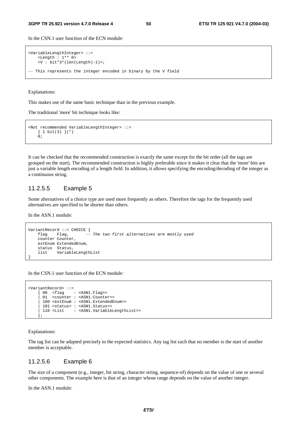In the CSN.1 user function of the ECN module:

```
<VariableLengthInteger> ::= 
     <Length : 1** 0> 
     <V : bit*3*(len(Length)-1)>; 
-- This represents the integer encoded in binary by the V field
```
Explanations:

This makes use of the same basic technique than in the previous example.

The traditional 'more' bit technique looks like:

```
<Not recommended VariableLengthInteger> ::= 
    \{ 1 bit(3) \} (*)
    \dot{0};
```
It can be checked that the recommended construction is exactly the same except for the bit order (all the tags are grouped on the start). The recommended construction is highly preferable since it makes it clear that the 'more' bits are just a variable length encoding of a length field. In addition, it allows specifying the encoding/decoding of the integer as a continuous string.

#### 11.2.5.5 Example 5

Some alternatives of a choice type are used more frequently as others. Therefore the tags for the frequently used alternatives are specified to be shorter than others.

In the ASN.1 module:

```
VariantRecord ::= CHOICE {<br>flag Flag, --
                         -- The two first alternatives are mostly used
     counter Counter, 
     extEnum ExtendedEnum, 
     status Status, 
     list VariableLengthList 
}
```
In the CSN.1 user function of the ECN module:

```
<VariantRecord> ::= 
      { 00 <flag : <ASN1.Flag>> 
      01 <counter : <ASN1.Counter>>
      | 100 <extEnum : <ASN1.ExtendedEnum>> 
       | 101 <status> : <ASN1.Status>> 
      | 110 <List : <ASN1.VariableLengthList>> 
      };
```
#### Explanations:

The tag list can be adapted precisely to the expected statistics. Any tag list such that no member is the start of another member is acceptable.

#### 11.2.5.6 Example 6

The size of a component (e.g., integer, bit string, character string, sequence-of) depends on the value of one or several other components. The example here is that of an integer whose range depends on the value of another integer.

In the ASN.1 module: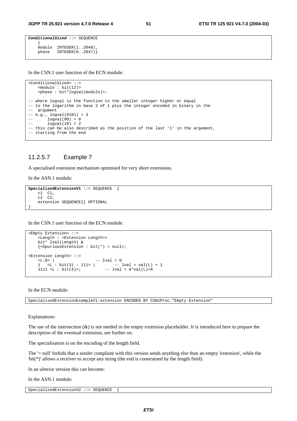```
ConditionalSized ::= SEQUENCE 
 { 
   modulo INTEGER(1..2048)
   phase INTEGER(0..2047)}
```
In the CSN.1 user function of the ECN module:

```
<ConditionalSized> ::= 
    <modulo : bit(12)> 
    <phase : bit*logval(modulo)>; 
-- where logval is the function to the smaller integer higher or equal 
-- to the logarithm in base 2 of 1 plus the integer encoded in binary in the 
-- argument 
-- e.g., logval(0101) = 3
-- logval(00) = 0-- logval(10) = 2-- this can be also described as the position of the last '1' in the argument, 
-- starting from the end
```
#### 11.2.5.7 Example 7

A specialised extension mechanism optimised for very short extensions.

In the ASN.1 module:

```
SpecialisedExtensionV1 ::= SEQUENCE { 
     c1 C1, 
     c2 C2, 
     extension SEQUENCE{} OPTIONAL 
}
```
In the CSN.1 user function of the ECN module:

```
<Empty Extension> ::= 
      <Length : <Extension Length>> 
      bit* lval(Length) & 
     \{\leqSpuriousExtension : bit(*) = null>;
<Extension Length> ::= 
     \text{L}: 0 > |<br>1 \text{L}: \text{bit}(3) - 111 > |<br>1 \text{L}: \text{bit}(3) - 111 > |<br>1 \text{L}: \text{bit}(3) - 111 > |1 \le L : \text{bit}(3) - 111 > |<br>1111 \le L : \text{bit}(4) > i- lval = 8*val(L)+8
```
In the ECN module:

SpecialisedExtensionExampleV1.extension ENCODED BY CSN1Proc."Empty Extension"

Explanations:

The use of the intersection  $(x)$  is not needed in the empty extension placeholder. It is introduced here to prepare the description of the eventual extension, see further on.

The specialisation is on the encoding of the length field.

The '= null' forbids that a sender compliant with this version sends anything else than an empty 'extension', while the 'bit(\*)' allows a receiver to accept any string (the end is constrained by the length field).

In an ulterior version this can become:

In the ASN.1 module:

SpecializedExtensionV2 ::= SEQUENCE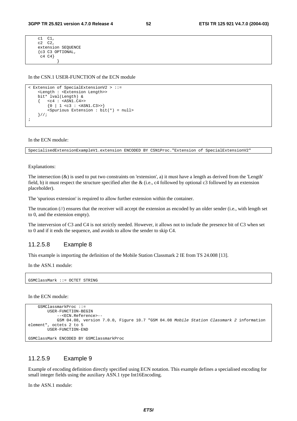c1 C1, c2 C2, extension SEQUENCE {c3 C3 OPTIONAL,  $c4$   $c4$ } }

In the CSN.1 USER-FUNCTION of the ECN module

```
< Extension of SpecialExtensionV2 > ::= 
     <Length : <Extension Length>> 
     bit* lval(Length) & 
    \{ <c4 : <a>ASN1.C4>\{0 \mid 1 \leq c3 : \leq \text{ASN1.C3} \} <Spurious Extension : bit(*) = null> 
     }//; 
;
```
In the ECN module:

SpecialisedExtensionExampleV1.extension ENCODED BY CSN1Proc."Extension of SpecialExtensionV2"

Explanations:

The intersection  $(x)$  is used to put two constraints on 'extension', a) it must have a length as derived from the 'Length' field, b) it must respect the structure specified after the  $\&$  (i.e., c4 followed by optional c3 followed by an extension placeholder).

The 'spurious extension' is required to allow further extension within the container.

The truncation  $(\ell)$  ensures that the receiver will accept the extension as encoded by an older sender (i.e., with length set to 0, and the extension empty).

The interversion of C3 and C4 is not strictly needed. However, it allows not to include the presence bit of C3 when set to 0 and if it ends the sequence, and avoids to allow the sender to skip C4.

#### 11.2.5.8 Example 8

This example is importing the definition of the Mobile Station Classmark 2 IE from TS 24.008 [13].

In the ASN.1 module:

GSMClassMark ::= OCTET STRING

In the ECN module:

```
 GSMClassmarkProc ::= 
         USER-FUNCTION-BEGIN 
             --<ECN.Reference>-- 
             GSM 04.08, version 7.0.0, Figure 10.7 "GSM 04.08 Mobile Station Classmark 2 information 
element", octets 2 to 5 
         USER-FUNCTION-END
```
GSMClassMark ENCODED BY GSMClassmarkProc

#### 11.2.5.9 Example 9

Example of encoding definition directly specified using ECN notation. This example defines a specialised encoding for small integer fields using the auxiliary ASN.1 type Int16Encoding.

In the ASN.1 module: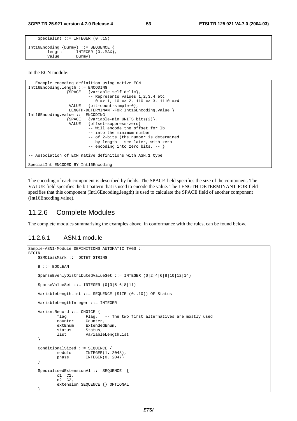```
SpecialInt ::= INTEGER (0..15)Int16Encoding {Dummy} ::= SEQUENCE { 
                  INTEGER (0..MAX), value Dummy}
```
In the ECN module:

```
-- Example encoding definition using native ECN 
Int16Encoding.length ::= ENCODING 
                 {SPACE {variable-self-delim}, 
                          -- Represents values 1,2,3,4 etc
                          -- 0 => 1, 10 => 2, 110 => 3, 1110 =>4
                  VALUE {bit-count-simple-0}, 
                 LENGTH-DETERMINANT-FOR Int16Encoding.value }
Int16Encoding.value ::= ENCODING 
                 {SPACE {variable-min UNITS bits(2)}, 
                  VALUE {offset-suppress-zero} 
                           -- Will encode the offset for lb 
                           -- into the minimum number 
                           -- of 2-bits (the number is determined 
                           -- by length - see later, with zero 
                           -- encoding into zero bits. -- } 
-- Association of ECN native definitions with ASN.1 type 
SpecialInt ENCODED BY Int16Encoding
```
The encoding of each component is described by fields. The SPACE field specifies the size of the component. The VALUE field specifies the bit pattern that is used to encode the value. The LENGTH-DETERMINANT-FOR field specifies that this component (Int16Encoding.length) is used to calculate the SPACE field of another component (Int16Encoding.value).

#### 11.2.6 Complete Modules

The complete modules summarising the examples above, in conformance with the rules, can be found below.

#### 11.2.6.1 ASN.1 module

}

```
Sample-ASN1-Module DEFINITIONS AUTOMATIC TAGS ::= 
BEGIN
     GSMClassMark ::= OCTET STRING 
     B ::= BOOLEAN 
     SparseEvenlyDistributedValueSet ::= INTEGER (0|2|4|6|8|10|12|14) 
     SparseValueSet ::= INTEGER (0|3|5|6|8|11) 
     VariableLengthList ::= SEQUENCE (SIZE (0..10)) OF Status 
     VariableLengthInteger ::= INTEGER 
     VariantRecord ::= CHOICE { 
            flag Flag, -- The two first alternatives are mostly used counter Counter,
            counter Counter,<br>extEnum Extended
                        ExtendedEnum,
             status Status, 
             list VariableLengthList 
     } 
     ConditionalSized ::= SEQUENCE { 
            modulo INTEGER(1..2048),
             phase INTEGER(0..2047) 
     } 
     SpecialisedExtensionV1 ::= SEQUENCE { 
             c1 C1, 
             c2 C2, 
             extension SEQUENCE {} OPTIONAL
```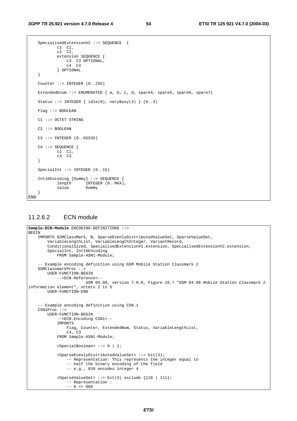```
 SpecialisedExtensionV2 ::= SEQUENCE { 
 c1 C1, 
c2 \quad c2, extension SEQUENCE { 
                c3 C3 OPTIONAL, 
               c4 c4 } OPTIONAL 
    } 
   Counter ::= INTEGER (0..255)ExtendedEnum ::= ENUMERATED \{a, b, c, d, s pare4, spare5, spare6, spare7}
   Status ::= INTEGER \{ idle(0), veryBusy(3) \} (0..3)
    Flag ::= BOOLEAN 
    C1 ::= OCTET STRING 
   C2 :: = B00LERAN C3 ::= INTEGER (0..65535) 
    C4 ::= SEQUENCE { 
 c1 C1, 
 c3 C3 
    } 
   SpecialInt ::= INTEGER (0..15)
    Int16Encoding {Dummy} ::= SEQUENCE { 
           length INTEGER (0..MAX),<br>value Dummy
                       Dummy
    }
END
```
### 11.2.6.2 ECN module

```
Sample-ECN-Module ENCODING-DEFINITIONS ::= 
BEGIN 
     IMPORTS GSMClassMark, B, SparseEvenlyDistributedValueSet, SparseValueSet, 
         VariableLengthList, VariableLengthInteger, VariantRecord, 
        ConditionalSized, SpecialisedExtensionV1.extension, SpecialisedExtensionV2.extension,
         SpecialInt, Int16Encoding 
             FROM Sample-ASN1-Module; 
     -- Example encoding definition using GSM Mobile Station Classmark 2 
     GSMClassmarkProc ::= 
         USER-FUNCTION-BEGIN 
             --<ECN.Reference>-- 
                         GSM 04.08, version 7.0.0, Figure 10.7 "GSM 04.08 Mobile Station Classmark 2
information element", octets 2 to 5 
         USER-FUNCTION-END 
     -- Example encoding definition using CSN.1 
     CSN1Proc ::= 
         USER-FUNCTION-BEGIN 
              --<ECN.Encoding CSN1>-- 
             IMPORTS 
                  Flag, Counter, ExtendedNum, Status, VariableLengthList, 
                  C4, C3 
             FROM Sample-ASN1-Module; 
             <SpecialBoolean> ::= 0 | 1; 
              <SparseEvenlyDistributedValueSet> ::= bit(3); 
                  -- Representation: This represents the integer equal to 
                  -- half the binary encoding of the field 
                  -- e.g., 010 encodes integer 4 
             s < SparseValueSet> ::= bit(3) exclude {110 | 111};
                  -- Representation : 
                 -- 0 \Rightarrow 000
```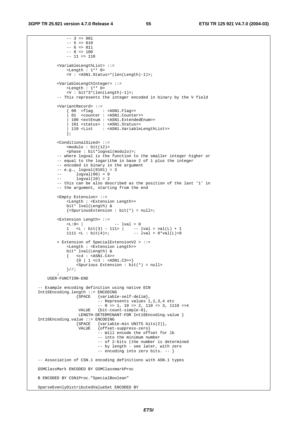```
-- 3 = 001-- 5 = > 010-- 6 => 011-- 8 = > 100-- 11 => 110 <VariableLengthList> ::= 
                 <Length : 1** 0> 
                  <V : <ASN1.Status>*(len(Length)-1)>; 
             <VariableLengthInteger> ::= 
                 <Length : 1** 0> 
                  <V : bit*3*(len(Length)-1)>; 
             -- This represents the integer encoded in binary by the V field 
             <VariantRecord> ::= 
                 \{ 00 \text{ } <flag : <ASN1.Flag>><br>\{ 01 \text{ } <counter : <ASN1.Counter
                      <counter : <ASN1.Counter>>
                   | 100 <extEnum : <ASN1.ExtendedEnum>> 
                   | 101 <status> : <ASN1.Status>> 
                   | 110 <List : <ASN1.VariableLengthList>> 
                 }; 
             <ConditionalSized> ::= 
                <math>modulo : bit(12) <phase : bit*logval(modulo)>; 
             -- where logval is the function to the smaller integer higher or 
             -- equal to the logarithm in base 2 of 1 plus the integer 
             -- encoded in binary in the argument 
            - - e.g., logval(0101) = 3- logval(00) = 0<br>- logval(10) = 2
                    logval(10) = 2 -- this can be also described as the position of the last '1' in 
             -- the argument, starting from the end 
             <Empty Extension> ::= 
                 <Length : <Extension Length>> 
                 bit* lval(Length) & 
                 {<SpuriousExtension : bit(*) = null>; 
             <Extension Length> ::= 
                < L: 0 > | -- lval = 0
1 \lt L : \text{bit}(3) - 111 > | -- 1val = val(L) + 11111 <L : bit(4)>; -- lval = 8*val(L)+8 < Extension of SpecialExtensionV2 > ::= 
                 <Length : <Extension Length>> 
                 bit* lval(Length) & 
                \{ \text{ cc4 : } \text{ansN1.c4}\{0 \mid 1 \leq c3 : \text{<ASN1}.C3>>\} <Spurious Extension : bit(*) = null> 
                 }//; 
\mathcal{L}^{\text{max}} USER-FUNCTION-END 
     -- Example encoding definition using native ECN 
    Int16Encoding.length ::= ENCODING 
                    {Space {variable-self-delim},
                               -- Represents values 1,2,3,4 etc 
                              -- 0 => 1, 10 => 2, 110 => 3, 1110 =>4
                       VALUE {bit-count-simple-0}, 
                      LENGTH-DETERMINANT-FOR Int16Encoding.value }
    Int16Encoding.value ::= ENCODING 
                      {SPACE {variable-min UNITS bits(2)}, 
                       VALUE {offset-suppress-zero} 
                               -- Will encode the offset for lb 
                               -- into the minimum number 
                               -- of 2-bits (the number is determined 
                               -- by length - see later, with zero 
                               -- encoding into zero bits. -- } 
    -- Association of CSN.1 encoding definitions with ASN.1 types 
    GSMClassMark ENCODED BY GSMClassmarkProc 
    B ENCODED BY CSN1Proc."SpecialBoolean" 
    SparseEvenlyDistributedValueSet ENCODED BY
```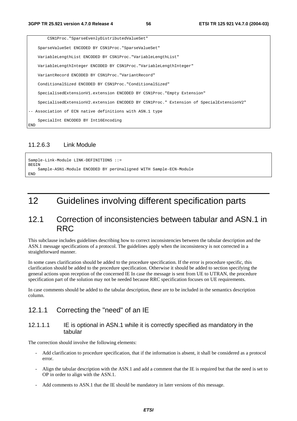|     | CSN1Proc. "SparseEvenlyDistributedValueSet"                                             |
|-----|-----------------------------------------------------------------------------------------|
|     | SparseValueSet ENCODED BY CSN1Proc. "SparseValueSet"                                    |
|     | VariableLengthList ENCODED BY CSN1Proc. "VariableLengthList"                            |
|     | VariableLengthInteger ENCODED BY CSN1Proc. "VariableLengthInteger"                      |
|     | VariantRecord ENCODED BY CSN1Proc. "VariantRecord"                                      |
|     | ConditionalSized ENCODED BY CSN1Proc. "ConditionalSized"                                |
|     | SpecialisedExtensionV1.extension ENCODED BY CSN1Proc."Empty Extension"                  |
|     | SpecialisedExtensionV2.extension ENCODED BY CSN1Proc." Extension of SpecialExtensionV2" |
|     | -- Association of ECN native definitions with ASN.1 type                                |
| END | SpecialInt ENCODED BY Int16Encoding                                                     |

#### 11.2.6.3 Link Module

```
Sample-Link-Module LINK-DEFINITIONS ::= 
BEGIN
     Sample-ASN1-Module ENCODED BY perUnaligned WITH Sample-ECN-Module 
END
```
# 12 Guidelines involving different specification parts

### 12.1 Correction of inconsistencies between tabular and ASN.1 in RRC

This subclause includes guidelines describing how to correct inconsistencies between the tabular description and the ASN.1 message specifications of a protocol. The guidelines apply when the inconsistency is not corrected in a straightforward manner.

In some cases clarification should be added to the procedure specification. If the error is procedure specific, this clarification should be added to the procedure specification. Otherwise it should be added to section specifying the general actions upon reception of the concerned IE In case the message is sent from UE to UTRAN, the procedure specification part of the solution may not be needed because RRC specification focuses on UE requirements.

In case comments should be added to the tabular description, these are to be included in the semantics description column.

### 12.1.1 Correcting the "need" of an IE

#### 12.1.1.1 IE is optional in ASN.1 while it is correctly specified as mandatory in the tabular

The correction should involve the following elements:

- Add clarification to procedure specification, that if the information is absent, it shall be considered as a protocol error.
- Align the tabular description with the ASN.1 and add a comment that the IE is required but that the need is set to OP in order to align with the ASN.1.
- Add comments to ASN.1 that the IE should be mandatory in later versions of this message.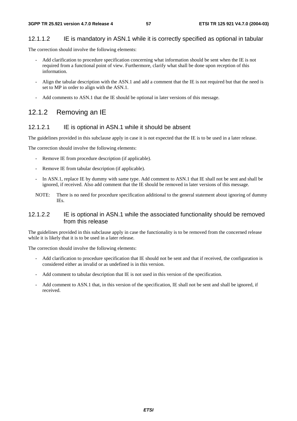#### 12.1.1.2 IE is mandatory in ASN.1 while it is correctly specified as optional in tabular

The correction should involve the following elements:

- Add clarification to procedure specification concerning what information should be sent when the IE is not required from a functional point of view. Furthermore, clarify what shall be done upon reception of this information.
- Align the tabular description with the ASN.1 and add a comment that the IE is not required but that the need is set to MP in order to align with the ASN.1.
- Add comments to ASN.1 that the IE should be optional in later versions of this message.

### 12.1.2 Removing an IE

#### 12.1.2.1 IE is optional in ASN.1 while it should be absent

The guidelines provided in this subclause apply in case it is not expected that the IE is to be used in a later release.

The correction should involve the following elements:

- Remove IE from procedure description (if applicable).
- Remove IE from tabular description (if applicable).
- In ASN.1, replace IE by dummy with same type. Add comment to ASN.1 that IE shall not be sent and shall be ignored, if received. Also add comment that the IE should be removed in later versions of this message.
- NOTE: There is no need for procedure specification additional to the general statement about ignoring of dummy IEs.

#### 12.1.2.2 IE is optional in ASN.1 while the associated functionality should be removed from this release

The guidelines provided in this subclause apply in case the functionality is to be removed from the concerned release while it is likely that it is to be used in a later release.

The correction should involve the following elements:

- Add clarification to procedure specification that IE should not be sent and that if received, the configuration is considered either as invalid or as undefined is in this version.
- Add comment to tabular description that IE is not used in this version of the specification.
- Add comment to ASN.1 that, in this version of the specification, IE shall not be sent and shall be ignored, if received.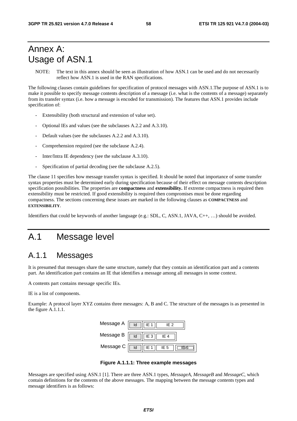# Annex A: Usage of ASN.1

NOTE: The text in this annex should be seen as illustration of how ASN.1 can be used and do not necessarily reflect how ASN.1 is used in the RAN specifications.

The following clauses contain guidelines for specification of protocol messages with ASN.1.The purpose of ASN.1 is to make it possible to specify message contents description of a message (i.e. what is the contents of a message) separately from its transfer syntax (i.e. how a message is encoded for transmission). The features that ASN.1 provides include specification of:

- Extensibility (both structural and extension of value set).
- Optional IEs and values (see the subclauses A.2.2 and A.3.10).
- Default values (see the subclauses A.2.2 and A.3.10).
- Comprehension required (see the subclause A.2.4).
- Inter/Intra IE dependency (see the subclause A.3.10).
- Specification of partial decoding (see the subclause A.2.5).

The clause 11 specifies how message transfer syntax is specified. It should be noted that importance of some transfer syntax properties must be determined early during specification because of their effect on message contents description specification possibilities. The properties are **compactness** and **extensibility.** If extreme compactness is required then extensibility must be restricted. If good extensibility is required then compromises must be done regarding compactness. The sections concerning these issues are marked in the following clauses as **COMPACTNESS** and **EXTENSIBILITY**.

Identifiers that could be keywords of another language (e.g.: SDL, C, ASN.1, JAVA, C++, …) should be avoided.

# A.1 Message level

## A.1.1 Messages

It is presumed that messages share the same structure, namely that they contain an identification part and a contents part. An identification part contains an IE that identifies a message among all messages in some context.

A contents part contains message specific IEs.

IE is a list of components.

Example: A protocol layer XYZ contains three messages: A, B and C. The structure of the messages is as presented in the figure A.1.1.1.



**Figure A.1.1.1: Three example messages** 

Messages are specified using ASN.1 [1]. There are three ASN.1 types, *MessageA*, *MessageB* and *MessageC*, which contain definitions for the contents of the above messages. The mapping between the message contents types and message identifiers is as follows: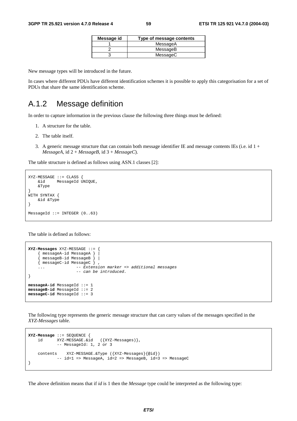| Message id<br>Type of message contents |          |
|----------------------------------------|----------|
|                                        | MessageA |
|                                        | MessageB |
|                                        | MessageC |

New message types will be introduced in the future.

In cases where different PDUs have different identification schemes it is possible to apply this categorisation for a set of PDUs that share the same identification scheme.

### A.1.2 Message definition

In order to capture information in the previous clause the following three things must be defined:

- 1. A structure for the table.
- 2. The table itself.
- 3. A generic message structure that can contain both message identifier IE and message contents IEs (i.e. id  $1 +$  $MessageA$ , id  $2 + MessageB$ , id  $3 + MessageC$ .

The table structure is defined as follows using ASN.1 classes [2]:

```
XYZ-MESSAGE ::= CLASS { 
     &id MessageId UNIQUE, 
     &Type 
} 
WITH SYNTAX { 
     &id &Type 
} 
MessageId ::= INTEGER (0..63)
```
The table is defined as follows:

```
XYZ-Messages XYZ-MESSAGE ::= { 
     { messageA-id MessageA } | 
    \{ messageB-id MessageB \} |
     { messageC-id MessageC } , 
                     -- Extension marker => additional messages
                      -- can be introduced. 
} 
messageA-id MessageId ::= 1 
messageB-id MessageId ::= 2 
messageC-id MessageId ::= 3
```
The following type represents the generic message structure that can carry values of the messages specified in the *XYZ-Messages* table.

```
XYZ-Message ::= SEQUENCE { 
 id XYZ-MESSAGE.&id ({XYZ-Messages)}, 
 -- MessageId: 1, 2 or 3 
    contents XYZ-MESSAGE.&Type ({XYZ-Messages}{@id}) 
           -- id=1 => MessageA, id=2 => MessageB, id=3 => MessageC
}
```
The above definition means that if *id* is 1 then the *Message* type could be interpreted as the following type: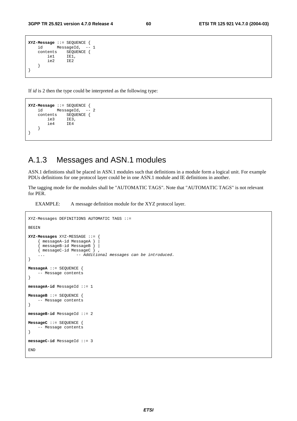```
XYZ-Message ::= SEQUENCE { 
    id MessageId, -- 1
    contents SEQUENCE {<br>iel IEl.
        ie1
         ie2 IE2 
     } 
}
```
If *id* is 2 then the type could be interpreted as the following type:

```
XYZ-Message ::= SEQUENCE { 
     id MessageId, -- 2 
    contents SEQUENCE {<br>ie3 IE3.
                  IE3,<br>IE4
         ie4
     } 
}
```
### A.1.3 Messages and ASN.1 modules

ASN.1 definitions shall be placed in ASN.1 modules such that definitions in a module form a logical unit. For example PDUs definitions for one protocol layer could be in one ASN.1 module and IE definitions in another.

The tagging mode for the modules shall be "AUTOMATIC TAGS". Note that "AUTOMATIC TAGS" is not relevant for PER.

EXAMPLE: A message definition module for the XYZ protocol layer.

```
XYZ-Messages DEFINITIONS AUTOMATIC TAGS ::= 
BEGIN 
XYZ-Messages XYZ-MESSAGE ::= { 
     { messageA-id MessageA } | 
      { messageB-id MessageB } | 
     { messageC-id MessageC } , 
                     -- Additional messages can be introduced.
} 
MessageA ::= SEQUENCE { 
     -- Message contents 
} 
messageA-id MessageId ::= 1 
MessageB ::= SEQUENCE { 
     -- Message contents 
} 
messageB-id MessageId ::= 2 
MessageC ::= SEQUENCE { 
     -- Message contents 
} 
messageC-id MessageId ::= 3 
END
```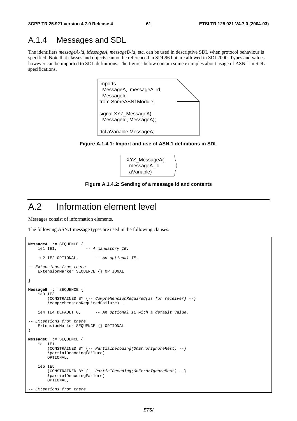# A.1.4 Messages and SDL

The identifiers *messageA-id*, *MessageA*, *messageB-id*, etc. can be used in descriptive SDL when protocol behaviour is specified. Note that classes and objects cannot be referenced in SDL96 but are allowed in SDL2000. Types and values however can be imported to SDL definitions. The figures below contain some examples about usage of ASN.1 in SDL specifications.



**Figure A.1.4.1: Import and use of ASN.1 definitions in SDL** 



**Figure A.1.4.2: Sending of a message id and contents** 

# A.2 Information element level

Messages consist of information elements.

The following ASN.1 message types are used in the following clauses.

```
MessageA ::= SEQUENCE {<br>iel IEl,
                          -- A mandatory IE.
    ie2 IE2 OPTIONAL, -- An optional IE.
-- Extensions from there 
     ExtensionMarker SEQUENCE {} OPTIONAL 
} 
MessageB ::= SEQUENCE { 
     ie3 IE3 
         (CONSTRAINED BY {-- ComprehensionRequired(is for receiver) --} 
         !comprehensionRequiredFailure) , 
    ie4 IE4 DEFAULT 0, -- An optional IE with a default value.
-- Extensions from there 
     ExtensionMarker SEQUENCE {} OPTIONAL 
} 
MessageC ::= SEQUENCE { 
     ie1 IE1 
         (CONSTRAINED BY {-- PartialDecoding(OnErrorIgnoreRest) --} 
         !partialDecodingFailure) 
         OPTIONAL, 
     ie5 IE5 
         (CONSTRAINED BY {-- PartialDecoding(OnErrorIgnoreRest) --} 
         !partialDecodingFailure) 
         OPTIONAL, 
 -- Extensions from there
```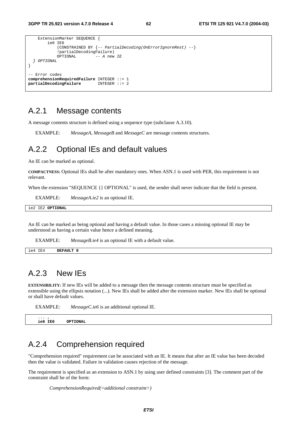```
 ExtensionMarker SEQUENCE { 
          ie6 IE6 
               (CONSTRAINED BY {-- PartialDecoding(OnErrorIgnoreRest) --} 
             !partialDecodingFailure)<br>OPTIONAL -- A new
                                - A new IE
   } OPTIONAL 
} 
-- Error codes 
comprehensionRequiredFailure INTEGER ::= 1 
partialDecodingFailure
```
### A.2.1 Message contents

A message contents structure is defined using a sequence type (subclause A.3.10).

EXAMPLE: *MessageA*, *MessageB* and *MessageC* are message contents structures.

### A.2.2 Optional IEs and default values

An IE can be marked as optional.

**COMPACTNESS:** Optional IEs shall be after mandatory ones. When ASN.1 is used with PER, this requirement is not relevant.

When the extension "SEQUENCE { } OPTIONAL" is used, the sender shall never indicate that the field is present.

EXAMPLE: *MessageA.ie2* is an optional IE.

ie2 IE2 **OPTIONAL**

An IE can be marked as being optional and having a default value. In those cases a missing optional IE may be understood as having a certain value hence a defined meaning.

EXAMPLE: *MessageB.ie4* is an optional IE with a default value.

ie4 IE4 **DEFAULT 0**

### A.2.3 New IEs

**EXTENSIBILITY:** If new IEs will be added to a message then the message contents structure must be specified as extensible using the ellipsis notation (...). New IEs shall be added after the extension marker. New IEs shall be optional or shall have default values.

EXAMPLE: *MessageC.ie6* is an additional optional IE.

 $i$ e6 TE6 **OPTIONAL** 

### A.2.4 Comprehension required

"Comprehension required" requirement can be associated with an IE. It means that after an IE value has been decoded then the value is validated. Failure in validation causes rejection of the message.

The requirement is specified as an extension to ASN.1 by using user defined constraints [3]. The comment part of the constraint shall be of the form:

*ComprehensionRequired(<additional constraint>)*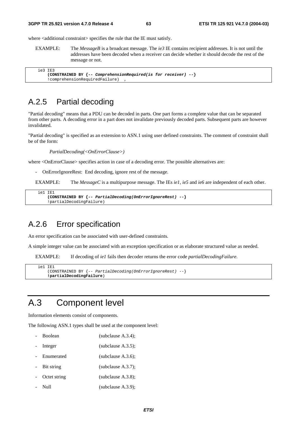where  $\leq$  additional constraint specifies the rule that the IE must satisfy.

EXAMPLE: The *MessageB* is a broadcast message. The *ie3* IE contains recipient addresses. It is not until the addresses have been decoded when a receiver can decide whether it should decode the rest of the message or not.

```
 ie3 IE3 
     (CONSTRAINED BY {-- ComprehensionRequired(is for receiver) --} 
     !comprehensionRequiredFailure) ,
```
### A.2.5 Partial decoding

"Partial decoding" means that a PDU can be decoded in parts. One part forms a complete value that can be separated from other parts. A decoding error in a part does not invalidate previously decoded parts. Subsequent parts are however invalidated.

"Partial decoding" is specified as an extension to ASN.1 using user defined constraints. The comment of constraint shall be of the form:

*PartialDecoding(<OnErrorClause>)* 

where <OnErrorClause> specifies action in case of a decoding error. The possible alternatives are:

- OnErrorIgnoreRest: End decoding, ignore rest of the message.

EXAMPLE: The *MessageC* is a multipurpose message. The IEs *ie1*, *ie5* and *ie6* are independent of each other.

```
 ie1 IE1 
     (CONSTRAINED BY {-- PartialDecoding(OnErrorIgnoreRest) --} 
     !partialDecodingFailure)
```
### A.2.6 Error specification

An error specification can be associated with user-defined constraints.

A simple integer value can be associated with an exception specification or as elaborate structured value as needed.

EXAMPLE: If decoding of *ie1* fails then decoder returns the error code *partialDecodingFailure*.

```
i = 1 (CONSTRAINED BY {-- PartialDecoding(OnErrorIgnoreRest) --} 
     !partialDecodingFailure)
```
# A.3 Component level

Information elements consist of components.

The following ASN.1 types shall be used at the component level:

- Boolean (subclause A.3.4);
- Integer (subclause A.3.5);
- Enumerated (subclause A.3.6);
- Bit string (subclause A.3.7);
- Octet string (subclause A.3.8);
- Null (subclause A.3.9);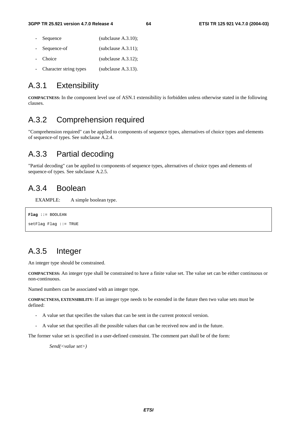- Sequence (subclause A.3.10); Sequence-of (subclause A.3.11); Choice (subclause A.3.12);
- Character string types (subclause A.3.13).

# A.3.1 Extensibility

**COMPACTNESS:** In the component level use of ASN.1 extensibility is forbidden unless otherwise stated in the following clauses.

# A.3.2 Comprehension required

"Comprehension required" can be applied to components of sequence types, alternatives of choice types and elements of sequence-of types. See subclause A.2.4.

## A.3.3 Partial decoding

"Partial decoding" can be applied to components of sequence types, alternatives of choice types and elements of sequence-of types. See subclause A.2.5.

### A.3.4 Boolean

EXAMPLE: A simple boolean type.

```
Flag ::= BOOLEAN 
setFlag Flag ::= TRUE
```
# A.3.5 Integer

An integer type should be constrained.

**COMPACTNESS:** An integer type shall be constrained to have a finite value set. The value set can be either continuous or non-continuous.

Named numbers can be associated with an integer type.

**COMPACTNESS, EXTENSIBILITY:** If an integer type needs to be extended in the future then two value sets must be defined:

- A value set that specifies the values that can be sent in the current protocol version.
- A value set that specifies all the possible values that can be received now and in the future.

The former value set is specified in a user-defined constraint. The comment part shall be of the form:

*Send(<value set>)*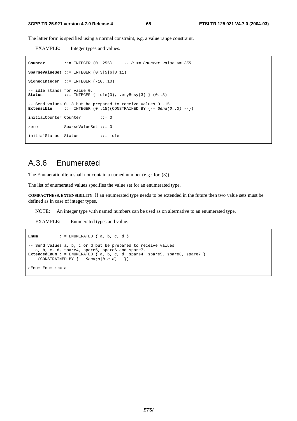The latter form is specified using a normal constraint, e.g. a value range constraint.

EXAMPLE: Integer types and values.

```
Counter ::= INTEGER (0..255) -- 0 <= Counter value <= 255 
SparseValueSet ::= INTEGER (0|3|5|6|8|11) 
SignedInteger ::= INTEGER (-10..10) 
-- idle stands for value 0.<br>Status ::= INTEGER
                  \mathsf{S} := \text{INTER } \{ \text{ idle}(0), \text{ veryBusy}(3) \} (0..3)-- Send values 0..3 but be prepared to receive values 0..15.<br>Extensible ::= INTEGER (0 15)(CONSTRAINED BY {-- Send(0)
                 E := \text{INTER } (0.15)(\text{CONSTRAINED BY } \{-\text{Send}(0.3) \}initialCounter Counter ::= 0
zero SparseValueSet ::= 0 
initialStatus Status ::= idle
```
### A.3.6 Enumerated

The EnumerationItem shall not contain a named number (e.g.: foo (3)).

The list of enumerated values specifies the value set for an enumerated type.

**COMPACTNESS, EXTENSIBILITY:** If an enumerated type needs to be extended in the future then two value sets must be defined as in case of integer types.

NOTE: An integer type with named numbers can be used as on alternative to an enumerated type.

EXAMPLE: Enumerated types and value.

```
Enum ::= ENUMERATED { a, b, c, d }
-- Send values a, b, c or d but be prepared to receive values 
-- a, b, c, d, spare4, spare5, spare6 and spare7. 
ExtendedEnum ::= ENUMERATED { a, b, c, d, spare4, spare5, spare6, spare7 } 
(CONSTRAINED BY \{- - Send(a|b|c|d) --})
aEnum Enum ::= a
```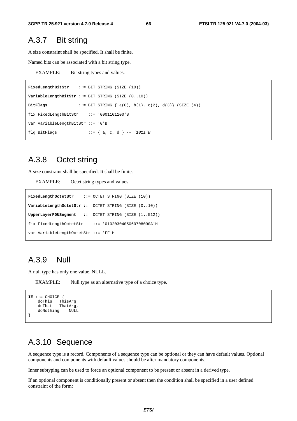### A.3.7 Bit string

A size constraint shall be specified. It shall be finite.

Named bits can be associated with a bit string type.

EXAMPLE: Bit string types and values.

```
FixedLengthBitStr ::= BIT STRING (SIZE (10)) 
VariableLengthBitStr ::= BIT STRING (SIZE (0..10)) 
BitFlags ::= BIT STRING { a(0), b(1), c(2), d(3)} (SIZE (4)) 
fix FixedLengthBitStr ::= '0001101100'B 
var VariableLengthBitStr ::= '0'B 
flg BitFlags ::= { a, c, d } -- '1011'B
```
### A.3.8 Octet string

A size constraint shall be specified. It shall be finite.

EXAMPLE: Octet string types and values.

```
FixedLengthOctetStr ::= OCTET STRING (SIZE (10)) 
VariableLengthOctetStr ::= OCTET STRING (SIZE (0..10)) 
UpperLayerPDUSegment ::= OCTET STRING (SIZE (1..512)) 
fix FixedLengthOctetStr ::= '0102030405060708090A'H 
var VariableLengthOctetStr ::= 'FF'H
```
### A.3.9 Null

A null type has only one value, NULL.

EXAMPLE: Null type as an alternative type of a choice type.

```
IE ::= CHOICE { 
     doThis ThisArg,<br>doThat ThatArg,
                ThatArg,
      doNothing NULL 
}
```
### A.3.10 Sequence

A sequence type is a record. Components of a sequence type can be optional or they can have default values. Optional components and components with default values should be after mandatory components.

Inner subtyping can be used to force an optional component to be present or absent in a derived type.

If an optional component is conditionally present or absent then the condition shall be specified in a user defined constraint of the form: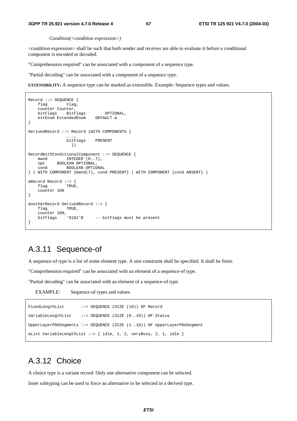#### **3GPP TR 25.921 version 4.7.0 Release 4 67 ETSI TR 125 921 V4.7.0 (2004-03)**

#### *Condition(<condition expression>)*

<condition expression> shall be such that both sender and receiver are able to evaluate it before a conditional component is encoded or decoded.

"Comprehension required" can be associated with a component of a sequence type.

"Partial decoding" can be associated with a component of a sequence type.

**EXTENSIBILITY:** A sequence type can be marked as extensible. Example: Sequence types and values.

```
Record ::= SEQUENCE { 
    flag Flag, 
    counter Counter, 
   bitFlags BitFlags OPTIONAL,<br>extEnum ExtendedEnum DEFAULT a
   extEnum ExtendedEnum
} 
DerivedRecord ::= Record (WITH COMPONENTS { 
 ..., 
                bitFlags PRESENT 
                  }) 
RecordWithConditionalComponent ::= SEQUENCE { 
mand INTEGER (0..7),
 opt BOOLEAN OPTIONAL, 
 cond BOOLEAN OPTIONAL 
} ( WITH COMPONENT {mand(7), cond PRESENT} | WITH COMPONENT {cond ABSENT} ) 
aRecord Record ::= { 
   flag TRUE,
    counter 100 
} 
anotherRecord DerivedRecord ::= { 
    flag TRUE, 
    counter 100, 
                         -- bitFlags must be present
}
```
### A.3.11 Sequence-of

A sequence-of type is a list of some element type. A size constraint shall be specified. It shall be finite.

"Comprehension required" can be associated with an element of a sequence-of type.

"Partial decoding" can be associated with an element of a sequence-of type.

EXAMPLE: Sequence-of types and values.

```
FixedLengthList ::= SEQUENCE (SIZE (10)) OF Record
VariableLengthList ::= SEQUENCE (SIZE (0..10)) OF Status 
UpperLayerPDUSegments ::= SEQUENCE (SIZE (1..10)) OF UpperLayerPDUSegment 
aList VariableLengthList ::= { idle, 1, 2, veryBusy, 2, 1, idle }
```
# A.3.12 Choice

A choice type is a variant record. Only one alternative component can be selected.

Inner subtyping can be used to force an alternative to be selected in a derived type.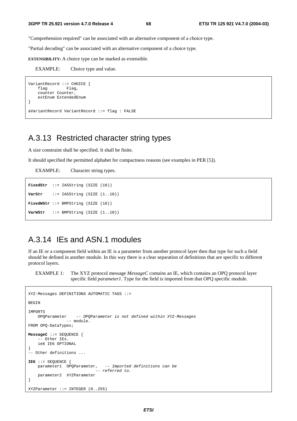"Comprehension required" can be associated with an alternative component of a choice type.

"Partial decoding" can be associated with an alternative component of a choice type.

**EXTENSIBILITY:** A choice type can be marked as extensible.

EXAMPLE: Choice type and value.

```
VariantRecord ::= CHOICE { 
    flag Flag,
     counter Counter, 
     extEnum ExtendedEnum 
} 
aVariantRecord VariantRecord ::= flag : FALSE
```
### A.3.13 Restricted character string types

A size constraint shall be specified. It shall be finite.

It should specified the permitted alphabet for compactness reasons (see examples in PER [5]).

EXAMPLE: Character string types.

```
FixedStr ::= IA5String (SIZE (10)) 
VarStr ::= IA5String (SIZE (1..10)) 
FixedWStr ::= BMPString (SIZE (10))
VarWStr ::= BMPString (SIZE (1..10))
```
## A.3.14 IEs and ASN.1 modules

If an IE or a component field within an IE is a parameter from another protocol layer then that type for such a field should be defined in another module. In this way there is a clear separation of definitions that are specific to different protocol layers.

EXAMPLE 1: The XYZ protocol message *MessageC* contains an IE, which contains an OPQ protocol layer specific field *parameter1*. Type for the field is imported from that OPQ specific module.

```
XYZ-Messages DEFINITIONS AUTOMATIC TAGS ::= 
BEGIN 
IMPORTS 
     OPQParameter -- OPQParameter is not defined within XYZ-Messages 
                  -- module. 
FROM OPQ-DataTypes; 
MessageC ::= SEQUENCE { 
     -- Other IEs. 
     ie6 IE6 OPTIONAL
} 
.<br>-- Other definitions ...
IE6 ::= SEQUENCE { 
     parameter1 OPQParameter, -- Imported definitions can be 
                               -- referred to. 
     parameter2 XYZParameter 
} 
XYZParameter ::= INTEGER (0..255)
```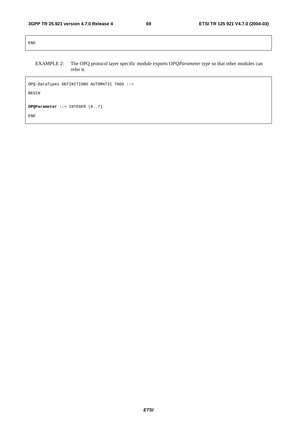END

#### EXAMPLE 2: The OPQ protocol layer specific module exports *OPQParameter* type so that other modules can refer it.

OPQ-DataTypes DEFINITIONS AUTOMATIC TAGS ::= BEGIN **OPQParameter** ::= INTEGER (0..7) END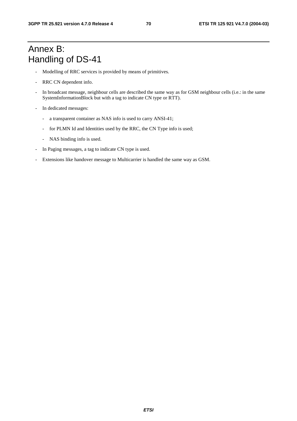# Annex B: Handling of DS-41

- Modelling of RRC services is provided by means of primitives.
- RRC CN dependent info.
- In broadcast message, neighbour cells are described the same way as for GSM neighbour cells (i.e.: in the same SystemInformationBlock but with a tag to indicate CN type or RTT).
- In dedicated messages:
	- a transparent container as NAS info is used to carry ANSI-41;
	- for PLMN Id and Identities used by the RRC, the CN Type info is used;
	- NAS binding info is used.
- In Paging messages, a tag to indicate CN type is used.
- Extensions like handover message to Multicarrier is handled the same way as GSM.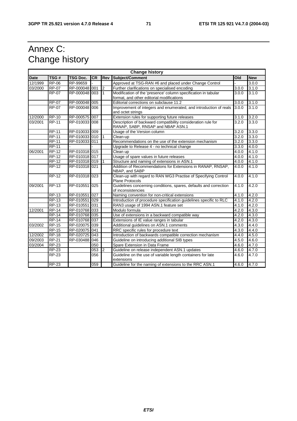# Annex C: Change history

| <b>Change history</b> |              |                 |           |                |                                                                                                   |                    |            |
|-----------------------|--------------|-----------------|-----------|----------------|---------------------------------------------------------------------------------------------------|--------------------|------------|
| <b>Date</b>           | TSG#         | <b>TSG Doc.</b> | <b>CR</b> | Rev            | <b>Subject/Comment</b>                                                                            | Old                | <b>New</b> |
| 12/1999               | <b>RP-06</b> | RP-99659        |           |                | Approved at TSG-RAN #6 and placed under Change Control                                            |                    | 3.0.0      |
| 03/2000               | <b>RP-07</b> | RP-000048 001   |           | $\overline{2}$ | Further clarifications on specialised encoding                                                    | 3.0.0              | 3.1.0      |
|                       | $RP-07$      | RP-000048 003   |           | $\mathbf{1}$   | Modification of the 'presence' column specification in tabular                                    | 3.0.0              | 3.1.0      |
|                       |              |                 |           |                | format, and other editorial modifications                                                         |                    |            |
|                       | $RP-07$      | RP-000048 005   |           |                | Editorial corrections on subclause 11.2                                                           | 3.0.0              | 3.1.0      |
|                       | <b>RP-07</b> | RP-000048 006   |           |                | Improvement of integers and enumerated, and introduction of reals<br>and octet strings            | 3.0.0              | 3.1.0      |
| 12/2000               | <b>RP-10</b> | RP-000575 007   |           |                | Extension rules for supporting future releases                                                    | 3.1.0              | 3.2.0      |
| 03/2001               | <b>RP-11</b> | RP-010033 008   |           |                | Description of backward compatibility consideration rule for<br>RANAP, SABP, RNSAP and NBAP ASN.1 | $\overline{3.2.0}$ | 3.3.0      |
|                       | <b>RP-11</b> | RP-010033 009   |           |                | Usage of the Version column                                                                       | 3.2.0              | 3.3.0      |
|                       | <b>RP-11</b> | RP-010033 010   |           |                | Clean-up                                                                                          | 3.2.0              | 3.3.0      |
|                       | <b>RP-11</b> | RP-010033 011   |           |                | Recommendations on the use of the extension mechanism                                             | 3.2.0              | 3.3.0      |
|                       | <b>RP-11</b> |                 |           |                | Upgrade to Release 4 - no technical change                                                        | 3.3.0              | 4.0.0      |
| 06/2001               | <b>RP-12</b> | RP-010318 015   |           |                | Clean up                                                                                          | 4.0.0              | 4.1.0      |
|                       | $RP-12$      | RP-010318 017   |           |                | Usage of spare values in future releases                                                          | 4.0.0              | 4.1.0      |
|                       | <b>RP-12</b> | RP-010318 019   |           |                | Structure and naming of extensions in ASN.1                                                       | 4.0.0              | 4.1.0      |
|                       | $RP-12$      | RP-010318 021   |           |                | Addition of Recommendations for Extensions in RANAP, RNSAP,<br>NBAP, and SABP                     | 4.0.0              | 4.1.0      |
|                       | $RP-12$      | RP-010318 023   |           |                | Clean-up with regard to RAN WG3 Practise of Specifying Control<br><b>Plane Protocols</b>          | 4.0.0              | 4.1.0      |
| 09/2001               | $RP-13$      | RP-010551 025   |           |                | Guidelines concerning conditions, spares, defaults and correction<br>of inconsistencies           | 4.1.0              | 4.2.0      |
|                       | <b>RP-13</b> | RP-010551       | 027       |                | Naming convention for non-critical extensions                                                     | 4.1.0              | 4.2.0      |
|                       | <b>RP-13</b> | RP-010551       | 029       |                | Introduction of procedure specification quidelines specific to RLC                                | 4.1.0              | 4.2.0      |
|                       | <b>RP-13</b> | RP-010551       | 031       |                | RAN3 usage of 1994 ASN.1 feature set                                                              | 4.1.0              | 4.2.0      |
| 12/2001               | <b>RP-14</b> | RP-010768 033   |           |                | Modulo formula                                                                                    | 4.2.0              | 4.3.0      |
|                       | <b>RP-14</b> | RP-010768 035   |           |                | Use of extensions in a backward compatible way                                                    | 4.2.0              | 4.3.0      |
|                       | $RP-14$      | RP-010768 037   |           |                | Extensions of IE value ranges in tabular                                                          | 4.2.0              | 4.3.0      |
| 03/2002               | <b>RP-15</b> | RP-020075 039   |           |                | Additional guidelines on ASN.1 comments                                                           | 4.3.0              | 4.4.0      |
|                       | $RP-15$      | RP-020075 041   |           |                | RRC specific rules for procedure text                                                             | 4.3.0              | 4.4.0      |
| 12/2002               | <b>RP-18</b> | RP-020725 043   |           |                | Introduction of backwards compatible correction mechanism                                         | 4.4.0              | 4.5.0      |
| 09/2003               | <b>RP-21</b> | RP-030488 046   |           |                | Guideline on introducing additional SIB types                                                     | 4.5.0              | 4.6.0      |
| 03/2004               | <b>RP-23</b> |                 | 050       |                | Spare Extension in Data Frame                                                                     | 4.6.0              | 4.7.0      |
|                       | $RP-23$      |                 | 053       | $\overline{2}$ | Guideline on release independent ASN.1 updates                                                    | 4.6.0              | 4.7.0      |
|                       | <b>RP-23</b> |                 | 056       |                | Guideline on the use of variable length containers for late<br>extensions                         | 4.6.0              | 4.7.0      |
|                       | <b>RP-23</b> |                 | 059       |                | Guideline for the naming of extensions to the RRC ASN.1                                           | 4.6.0              | 4.7.0      |